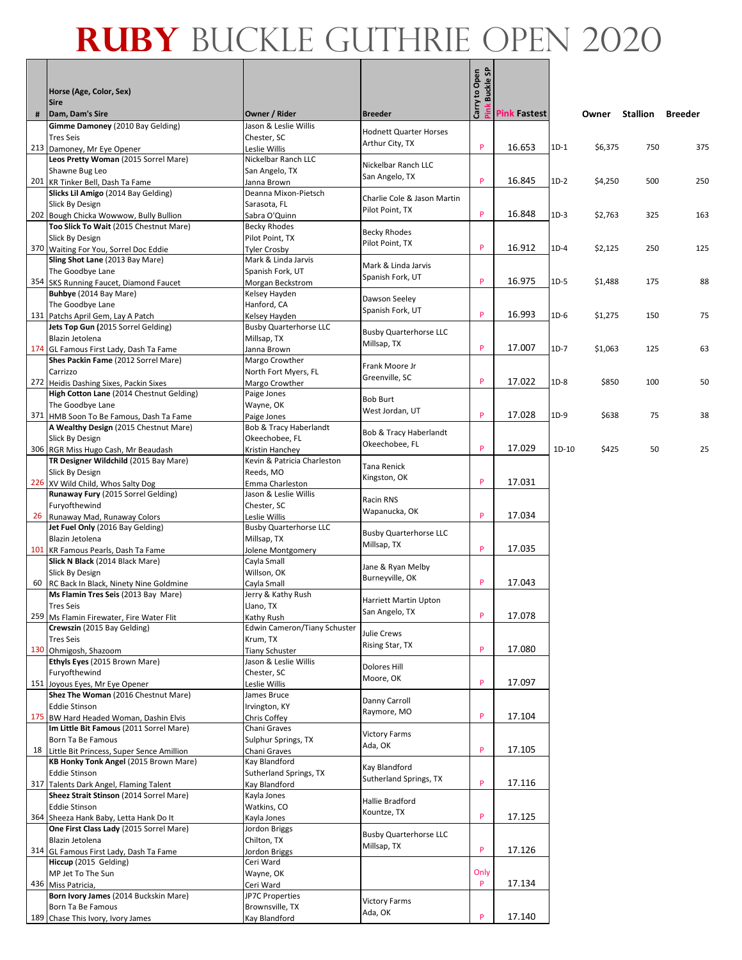#### $\overline{e}$   $\overline{e}$ **Ruby** Buckle Guthrie OPEN 2020

|   |                                                                                    |                                                |                                       | Pink Buckle SP |                     |        |         |          |         |
|---|------------------------------------------------------------------------------------|------------------------------------------------|---------------------------------------|----------------|---------------------|--------|---------|----------|---------|
|   | Horse (Age, Color, Sex)                                                            |                                                |                                       | Carry to Open  |                     |        |         |          |         |
| # | <b>Sire</b><br>Dam, Dam's Sire                                                     | Owner / Rider                                  | <b>Breeder</b>                        |                | <b>Pink Fastest</b> |        | Owner   | Stallion | Breeder |
|   | Gimme Damoney (2010 Bay Gelding)                                                   | Jason & Leslie Willis                          | <b>Hodnett Quarter Horses</b>         |                |                     |        |         |          |         |
|   | <b>Tres Seis</b><br>213 Damoney, Mr Eye Opener                                     | Chester, SC<br>Leslie Willis                   | Arthur City, TX                       | P              | 16.653              | $1D-1$ | \$6,375 | 750      | 375     |
|   | Leos Pretty Woman (2015 Sorrel Mare)                                               | Nickelbar Ranch LLC                            |                                       |                |                     |        |         |          |         |
|   | Shawne Bug Leo                                                                     | San Angelo, TX                                 | Nickelbar Ranch LLC<br>San Angelo, TX |                |                     |        |         |          |         |
|   | 201 KR Tinker Bell, Dash Ta Fame                                                   | Janna Brown                                    |                                       | P              | 16.845              | $1D-2$ | \$4,250 | 500      | 250     |
|   | Slicks Lil Amigo (2014 Bay Gelding)<br><b>Slick By Design</b>                      | Deanna Mixon-Pietsch<br>Sarasota, FL           | Charlie Cole & Jason Martin           |                |                     |        |         |          |         |
|   | 202 Bough Chicka Wowwow, Bully Bullion                                             | Sabra O'Quinn                                  | Pilot Point, TX                       | P              | 16.848              | $1D-3$ | \$2,763 | 325      | 163     |
|   | Too Slick To Wait (2015 Chestnut Mare)                                             | <b>Becky Rhodes</b>                            | <b>Becky Rhodes</b>                   |                |                     |        |         |          |         |
|   | <b>Slick By Design</b>                                                             | Pilot Point, TX                                | Pilot Point, TX                       |                |                     |        |         |          |         |
|   | 370 Waiting For You, Sorrel Doc Eddie<br>Sling Shot Lane (2013 Bay Mare)           | <b>Tyler Crosby</b><br>Mark & Linda Jarvis     |                                       | P              | 16.912              | $1D-4$ | \$2,125 | 250      | 125     |
|   | The Goodbye Lane                                                                   | Spanish Fork, UT                               | Mark & Linda Jarvis                   |                |                     |        |         |          |         |
|   | 354 SKS Running Faucet, Diamond Faucet                                             | Morgan Beckstrom                               | Spanish Fork, UT                      | P              | 16.975              | $1D-5$ | \$1,488 | 175      | 88      |
|   | Buhbye (2014 Bay Mare)                                                             | Kelsey Hayden                                  | Dawson Seeley                         |                |                     |        |         |          |         |
|   | The Goodbye Lane                                                                   | Hanford, CA                                    | Spanish Fork, UT                      | P              | 16.993              | $1D-6$ |         |          |         |
|   | 131 Patchs April Gem, Lay A Patch<br>Jets Top Gun (2015 Sorrel Gelding)            | Kelsey Hayden<br><b>Busby Quarterhorse LLC</b> |                                       |                |                     |        | \$1,275 | 150      | 75      |
|   | Blazin Jetolena                                                                    | Millsap, TX                                    | <b>Busby Quarterhorse LLC</b>         |                |                     |        |         |          |         |
|   | 174 GL Famous First Lady, Dash Ta Fame                                             | Janna Brown                                    | Millsap, TX                           | P              | 17.007              | $1D-7$ | \$1,063 | 125      | 63      |
|   | Shes Packin Fame (2012 Sorrel Mare)                                                | Margo Crowther                                 | Frank Moore Jr                        |                |                     |        |         |          |         |
|   | Carrizzo                                                                           | North Fort Myers, FL<br>Margo Crowther         | Greenville, SC                        | P              | 17.022              | $1D-8$ | \$850   | 100      | 50      |
|   | 272 Heidis Dashing Sixes, Packin Sixes<br>High Cotton Lane (2014 Chestnut Gelding) | Paige Jones                                    |                                       |                |                     |        |         |          |         |
|   | The Goodbye Lane                                                                   | Wayne, OK                                      | <b>Bob Burt</b>                       |                |                     |        |         |          |         |
|   | 371 HMB Soon To Be Famous, Dash Ta Fame                                            | Paige Jones                                    | West Jordan, UT                       | P              | 17.028              | $1D-9$ | \$638   | 75       | 38      |
|   | A Wealthy Design (2015 Chestnut Mare)                                              | Bob & Tracy Haberlandt                         | Bob & Tracy Haberlandt                |                |                     |        |         |          |         |
|   | Slick By Design<br>306 RGR Miss Hugo Cash, Mr Beaudash                             | Okeechobee, FL<br>Kristin Hanchey              | Okeechobee, FL                        | P              | 17.029              | 1D-10  | \$425   | 50       | 25      |
|   | TR Designer Wildchild (2015 Bay Mare)                                              | Kevin & Patricia Charleston                    |                                       |                |                     |        |         |          |         |
|   | <b>Slick By Design</b>                                                             | Reeds, MO                                      | Tana Renick<br>Kingston, OK           |                |                     |        |         |          |         |
|   | 226 XV Wild Child, Whos Salty Dog                                                  | Emma Charleston                                |                                       | P              | 17.031              |        |         |          |         |
|   | Runaway Fury (2015 Sorrel Gelding)<br>Furyofthewind                                | Jason & Leslie Willis<br>Chester, SC           | Racin RNS                             |                |                     |        |         |          |         |
|   | 26 Runaway Mad, Runaway Colors                                                     | Leslie Willis                                  | Wapanucka, OK                         | P              | 17.034              |        |         |          |         |
|   | Jet Fuel Only (2016 Bay Gelding)                                                   | <b>Busby Quarterhorse LLC</b>                  | <b>Busby Quarterhorse LLC</b>         |                |                     |        |         |          |         |
|   | Blazin Jetolena                                                                    | Millsap, TX                                    | Millsap, TX                           |                |                     |        |         |          |         |
|   | 101 KR Famous Pearls, Dash Ta Fame<br>Slick N Black (2014 Black Mare)              | Jolene Montgomery<br>Cayla Small               |                                       | P              | 17.035              |        |         |          |         |
|   | Slick By Design                                                                    | Willson, OK                                    | Jane & Ryan Melby                     |                |                     |        |         |          |         |
|   | 60 RC Back In Black, Ninety Nine Goldmine                                          | Cayla Small                                    | Burneyville, OK                       | P              | 17.043              |        |         |          |         |
|   | Ms Flamin Tres Seis (2013 Bay Mare)                                                | Jerry & Kathy Rush                             | Harriett Martin Upton                 |                |                     |        |         |          |         |
|   | <b>Tres Seis</b>                                                                   | Llano, TX                                      | San Angelo, TX                        | P              | 17.078              |        |         |          |         |
|   | 259   Ms Flamin Firewater, Fire Water Flit<br>Crewszin (2015 Bay Gelding)          | Kathy Rush<br>Edwin Cameron/Tiany Schuster     |                                       |                |                     |        |         |          |         |
|   | <b>Tres Seis</b>                                                                   | Krum, TX                                       | Julie Crews                           |                |                     |        |         |          |         |
|   | 130 Ohmigosh, Shazoom                                                              | <b>Tiany Schuster</b>                          | Rising Star, TX                       | P              | 17.080              |        |         |          |         |
|   | Ethyls Eyes (2015 Brown Mare)                                                      | Jason & Leslie Willis                          | Dolores Hill                          |                |                     |        |         |          |         |
|   | Furyofthewind<br>151 Joyous Eyes, Mr Eye Opener                                    | Chester, SC<br>Leslie Willis                   | Moore, OK                             | P              | 17.097              |        |         |          |         |
|   | Shez The Woman (2016 Chestnut Mare)                                                | James Bruce                                    |                                       |                |                     |        |         |          |         |
|   | <b>Eddie Stinson</b>                                                               | Irvington, KY                                  | Danny Carroll<br>Raymore, MO          |                |                     |        |         |          |         |
|   | 175 BW Hard Headed Woman, Dashin Elvis                                             | Chris Coffey                                   |                                       | P              | 17.104              |        |         |          |         |
|   | Im Little Bit Famous (2011 Sorrel Mare)<br>Born Ta Be Famous                       | Chani Graves<br>Sulphur Springs, TX            | <b>Victory Farms</b>                  |                |                     |        |         |          |         |
|   | 18 Little Bit Princess, Super Sence Amillion                                       | Chani Graves                                   | Ada, OK                               | P              | 17.105              |        |         |          |         |
|   | KB Honky Tonk Angel (2015 Brown Mare)                                              | Kay Blandford                                  | Kay Blandford                         |                |                     |        |         |          |         |
|   | <b>Eddie Stinson</b>                                                               | Sutherland Springs, TX                         | Sutherland Springs, TX                | P              |                     |        |         |          |         |
|   | 317 Talents Dark Angel, Flaming Talent<br>Sheez Strait Stinson (2014 Sorrel Mare)  | Kay Blandford<br>Kayla Jones                   |                                       |                | 17.116              |        |         |          |         |
|   | <b>Eddie Stinson</b>                                                               | Watkins, CO                                    | Hallie Bradford                       |                |                     |        |         |          |         |
|   | 364 Sheeza Hank Baby, Letta Hank Do It                                             | Kayla Jones                                    | Kountze, TX                           | P              | 17.125              |        |         |          |         |
|   | One First Class Lady (2015 Sorrel Mare)                                            | Jordon Briggs                                  | <b>Busby Quarterhorse LLC</b>         |                |                     |        |         |          |         |
|   | Blazin Jetolena                                                                    | Chilton, TX                                    | Millsap, TX                           | P              | 17.126              |        |         |          |         |
|   | 314 GL Famous First Lady, Dash Ta Fame<br>Hiccup (2015 Gelding)                    | Jordon Briggs<br>Ceri Ward                     |                                       |                |                     |        |         |          |         |
|   | MP Jet To The Sun                                                                  | Wayne, OK                                      |                                       | Only           |                     |        |         |          |         |
|   | 436 Miss Patricia,                                                                 | Ceri Ward                                      |                                       | P              | 17.134              |        |         |          |         |
|   | Born Ivory James (2014 Buckskin Mare)<br>Born Ta Be Famous                         | JP7C Properties                                | <b>Victory Farms</b>                  |                |                     |        |         |          |         |
|   | 189 Chase This Ivory, Ivory James                                                  | Brownsville, TX<br>Kay Blandford               | Ada, OK                               | P              | 17.140              |        |         |          |         |
|   |                                                                                    |                                                |                                       |                |                     |        |         |          |         |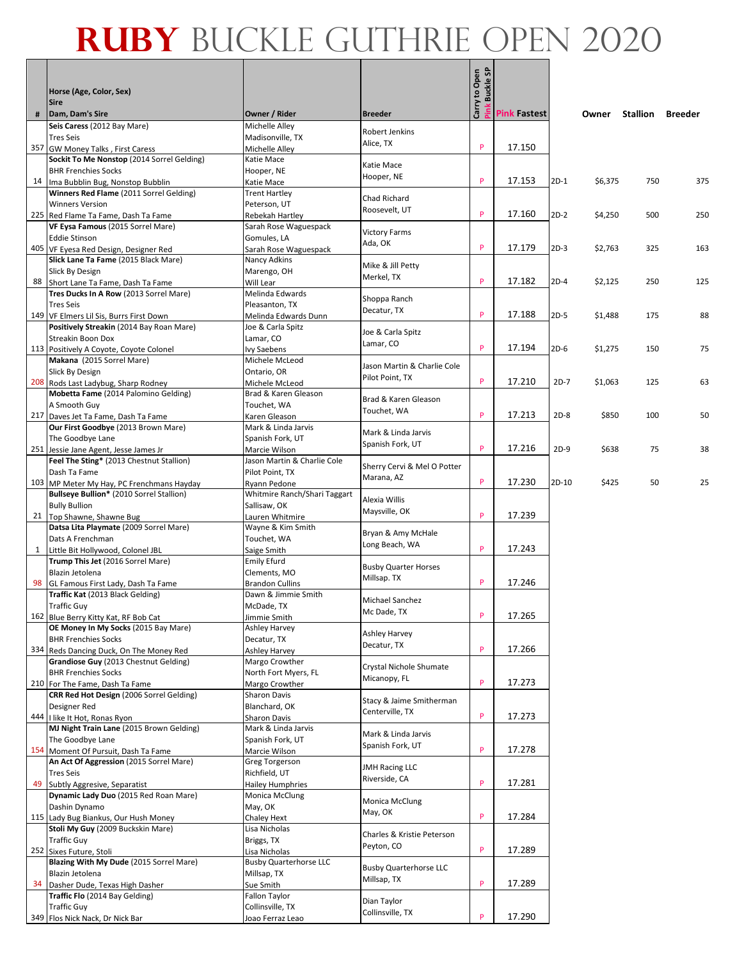#### $\vert$ ទូ ន **Ruby** Buckle Guthrie OPEN 2020

|    | Horse (Age, Color, Sex)                                                      |                                                |                                              | Pink Buckle SP<br>Carry to Open |                    |        |         |                 |                |
|----|------------------------------------------------------------------------------|------------------------------------------------|----------------------------------------------|---------------------------------|--------------------|--------|---------|-----------------|----------------|
|    | <b>Sire</b>                                                                  |                                                |                                              |                                 |                    |        |         |                 |                |
| #  | Dam, Dam's Sire                                                              | Owner / Rider                                  | <b>Breeder</b>                               |                                 | <b>Pink astest</b> |        | Owner   | <b>Stallion</b> | <b>Breeder</b> |
|    | Seis Caress (2012 Bay Mare)<br><b>Tres Seis</b>                              | Michelle Alley<br>Madisonville, TX             | <b>Robert Jenkins</b>                        |                                 |                    |        |         |                 |                |
|    | 357 GW Money Talks, First Caress                                             | Michelle Alley                                 | Alice, TX                                    | P                               | 17.150             |        |         |                 |                |
|    | Sockit To Me Nonstop (2014 Sorrel Gelding)                                   | Katie Mace                                     | Katie Mace                                   |                                 |                    |        |         |                 |                |
|    | <b>BHR Frenchies Socks</b>                                                   | Hooper, NE                                     | Hooper, NE                                   | P                               |                    |        |         | 750             | 375            |
| 14 | Ima Bubblin Bug, Nonstop Bubblin<br>Winners Red Flame (2011 Sorrel Gelding)  | Katie Mace<br><b>Trent Hartley</b>             |                                              |                                 | 17.153             | $2D-1$ | \$6,375 |                 |                |
|    | <b>Winners Version</b>                                                       | Peterson, UT                                   | <b>Chad Richard</b>                          |                                 |                    |        |         |                 |                |
|    | 225 Red Flame Ta Fame, Dash Ta Fame                                          | Rebekah Hartley                                | Roosevelt, UT                                | P                               | 17.160             | 2D-2   | \$4,250 | 500             | 250            |
|    | VF Eysa Famous (2015 Sorrel Mare)                                            | Sarah Rose Waguespack                          | <b>Victory Farms</b>                         |                                 |                    |        |         |                 |                |
|    | <b>Eddie Stinson</b><br>405 VF Eyesa Red Design, Designer Red                | Gomules, LA<br>Sarah Rose Waguespack           | Ada, OK                                      | P                               | 17.179             | $2D-3$ | \$2,763 | 325             | 163            |
|    | Slick Lane Ta Fame (2015 Black Mare)                                         | Nancy Adkins                                   |                                              |                                 |                    |        |         |                 |                |
|    | Slick By Design                                                              | Marengo, OH                                    | Mike & Jill Petty<br>Merkel, TX              |                                 |                    |        |         |                 |                |
|    | 88 Short Lane Ta Fame, Dash Ta Fame                                          | Will Lear                                      |                                              | P                               | 17.182             | 2D-4   | \$2,125 | 250             | 125            |
|    | Tres Ducks In A Row (2013 Sorrel Mare)<br><b>Tres Seis</b>                   | Melinda Edwards<br>Pleasanton, TX              | Shoppa Ranch                                 |                                 |                    |        |         |                 |                |
|    | 149 VF Elmers Lil Sis, Burrs First Down                                      | Melinda Edwards Dunn                           | Decatur, TX                                  | P                               | 17.188             | $2D-5$ | \$1,488 | 175             | 88             |
|    | Positively Streakin (2014 Bay Roan Mare)                                     | Joe & Carla Spitz                              | Joe & Carla Spitz                            |                                 |                    |        |         |                 |                |
|    | Streakin Boon Dox                                                            | Lamar, CO                                      | Lamar, CO                                    | P                               | 17.194             |        |         |                 |                |
|    | 113 Positively A Coyote, Coyote Colonel<br>Makana (2015 Sorrel Mare)         | <b>Ivy Saebens</b><br>Michele McLeod           |                                              |                                 |                    | $2D-6$ | \$1,275 | 150             | 75             |
|    | <b>Slick By Design</b>                                                       | Ontario, OR                                    | Jason Martin & Charlie Cole                  |                                 |                    |        |         |                 |                |
|    | 208 Rods Last Ladybug, Sharp Rodney                                          | Michele McLeod                                 | Pilot Point, TX                              | P                               | 17.210             | $2D-7$ | \$1,063 | 125             | 63             |
|    | Mobetta Fame (2014 Palomino Gelding)                                         | Brad & Karen Gleason                           | Brad & Karen Gleason                         |                                 |                    |        |         |                 |                |
|    | A Smooth Guy<br>217 Daves Jet Ta Fame, Dash Ta Fame                          | Touchet, WA<br>Karen Gleason                   | Touchet, WA                                  | P                               | 17.213             | $2D-8$ | \$850   | 100             | 50             |
|    | Our First Goodbye (2013 Brown Mare)                                          | Mark & Linda Jarvis                            |                                              |                                 |                    |        |         |                 |                |
|    | The Goodbye Lane                                                             | Spanish Fork, UT                               | Mark & Linda Jarvis<br>Spanish Fork, UT      |                                 |                    |        |         |                 |                |
|    | 251 Jessie Jane Agent, Jesse James Jr                                        | Marcie Wilson                                  |                                              | P                               | 17.216             | $2D-9$ | \$638   | 75              | 38             |
|    | Feel The Sting* (2013 Chestnut Stallion)<br>Dash Ta Fame                     | Jason Martin & Charlie Cole<br>Pilot Point, TX | Sherry Cervi & Mel O Potter                  |                                 |                    |        |         |                 |                |
|    | 103 MP Meter My Hay, PC Frenchmans Hayday                                    | Ryann Pedone                                   | Marana, AZ                                   | P                               | 17.230             | 2D-10  | \$425   | 50              | 25             |
|    | Bullseye Bullion* (2010 Sorrel Stallion)                                     | Whitmire Ranch/Shari Taggart                   | Alexia Willis                                |                                 |                    |        |         |                 |                |
|    | <b>Bully Bullion</b>                                                         | Sallisaw, OK                                   | Maysville, OK                                | P                               | 17.239             |        |         |                 |                |
|    | 21   Top Shawne, Shawne Bug<br>Datsa Lita Playmate (2009 Sorrel Mare)        | Lauren Whitmire<br>Wayne & Kim Smith           |                                              |                                 |                    |        |         |                 |                |
|    | Dats A Frenchman                                                             | Touchet, WA                                    | Bryan & Amy McHale                           |                                 |                    |        |         |                 |                |
|    | 1 Little Bit Hollywood, Colonel JBL                                          | Saige Smith                                    | Long Beach, WA                               | P                               | 17.243             |        |         |                 |                |
|    | Trump This Jet (2016 Sorrel Mare)                                            | <b>Emily Efurd</b>                             | <b>Busby Quarter Horses</b>                  |                                 |                    |        |         |                 |                |
| 98 | Blazin Jetolena<br>GL Famous First Lady, Dash Ta Fame                        | Clements, MO<br><b>Brandon Cullins</b>         | Millsap. TX                                  | P                               | 17.246             |        |         |                 |                |
|    | Traffic Kat (2013 Black Gelding)                                             | Dawn & Jimmie Smith                            |                                              |                                 |                    |        |         |                 |                |
|    | <b>Traffic Guy</b>                                                           | McDade, TX                                     | Michael Sanchez<br>Mc Dade, TX               |                                 |                    |        |         |                 |                |
|    | 162 Blue Berry Kitty Kat, RF Bob Cat<br>OE Money In My Socks (2015 Bay Mare) | Jimmie Smith                                   |                                              | P                               | 17.265             |        |         |                 |                |
|    | <b>BHR Frenchies Socks</b>                                                   | Ashley Harvey<br>Decatur, TX                   | <b>Ashley Harvey</b>                         |                                 |                    |        |         |                 |                |
|    | 334 Reds Dancing Duck, On The Money Red                                      | Ashley Harvey                                  | Decatur, TX                                  | P                               | 17.266             |        |         |                 |                |
|    | Grandiose Guy (2013 Chestnut Gelding)                                        | Margo Crowther                                 | Crystal Nichole Shumate                      |                                 |                    |        |         |                 |                |
|    | <b>BHR Frenchies Socks</b><br>210 For The Fame, Dash Ta Fame                 | North Fort Myers, FL<br>Margo Crowther         | Micanopy, FL                                 | P                               | 17.273             |        |         |                 |                |
|    | CRR Red Hot Design (2006 Sorrel Gelding)                                     | Sharon Davis                                   |                                              |                                 |                    |        |         |                 |                |
|    | Designer Red                                                                 | Blanchard, OK                                  | Stacy & Jaime Smitherman<br>Centerville, TX  |                                 |                    |        |         |                 |                |
|    | 444   I like It Hot, Ronas Ryon                                              | Sharon Davis                                   |                                              | P                               | 17.273             |        |         |                 |                |
|    | MJ Night Train Lane (2015 Brown Gelding)<br>The Goodbye Lane                 | Mark & Linda Jarvis<br>Spanish Fork, UT        | Mark & Linda Jarvis                          |                                 |                    |        |         |                 |                |
|    | 154 Moment Of Pursuit, Dash Ta Fame                                          | Marcie Wilson                                  | Spanish Fork, UT                             | P                               | 17.278             |        |         |                 |                |
|    | An Act Of Aggression (2015 Sorrel Mare)                                      | Greg Torgerson                                 | <b>JMH Racing LLC</b>                        |                                 |                    |        |         |                 |                |
|    | <b>Tres Seis</b>                                                             | Richfield, UT                                  | Riverside, CA                                | P                               |                    |        |         |                 |                |
| 49 | Subtly Aggresive, Separatist<br>Dynamic Lady Duo (2015 Red Roan Mare)        | <b>Hailey Humphries</b><br>Monica McClung      |                                              |                                 | 17.281             |        |         |                 |                |
|    | Dashin Dynamo                                                                | May, OK                                        | Monica McClung                               |                                 |                    |        |         |                 |                |
|    | 115 Lady Bug Biankus, Our Hush Money                                         | Chaley Hext                                    | May, OK                                      | P                               | 17.284             |        |         |                 |                |
|    | Stoli My Guy (2009 Buckskin Mare)                                            | Lisa Nicholas                                  | Charles & Kristie Peterson                   |                                 |                    |        |         |                 |                |
|    | <b>Traffic Guy</b><br>252 Sixes Future, Stoli                                | Briggs, TX<br>Lisa Nicholas                    | Peyton, CO                                   | P                               | 17.289             |        |         |                 |                |
|    | Blazing With My Dude (2015 Sorrel Mare)                                      | <b>Busby Quarterhorse LLC</b>                  |                                              |                                 |                    |        |         |                 |                |
|    | Blazin Jetolena                                                              | Millsap, TX                                    | <b>Busby Quarterhorse LLC</b><br>Millsap, TX |                                 |                    |        |         |                 |                |
|    | 34 Dasher Dude, Texas High Dasher                                            | Sue Smith                                      |                                              | P                               | 17.289             |        |         |                 |                |
|    | Traffic Flo (2014 Bay Gelding)<br><b>Traffic Guy</b>                         | Fallon Taylor<br>Collinsville, TX              | Dian Taylor                                  |                                 |                    |        |         |                 |                |
|    | 349 Flos Nick Nack, Dr Nick Bar                                              | Joao Ferraz Leao                               | Collinsville, TX                             | P                               | 17.290             |        |         |                 |                |
|    |                                                                              |                                                |                                              |                                 |                    |        |         |                 |                |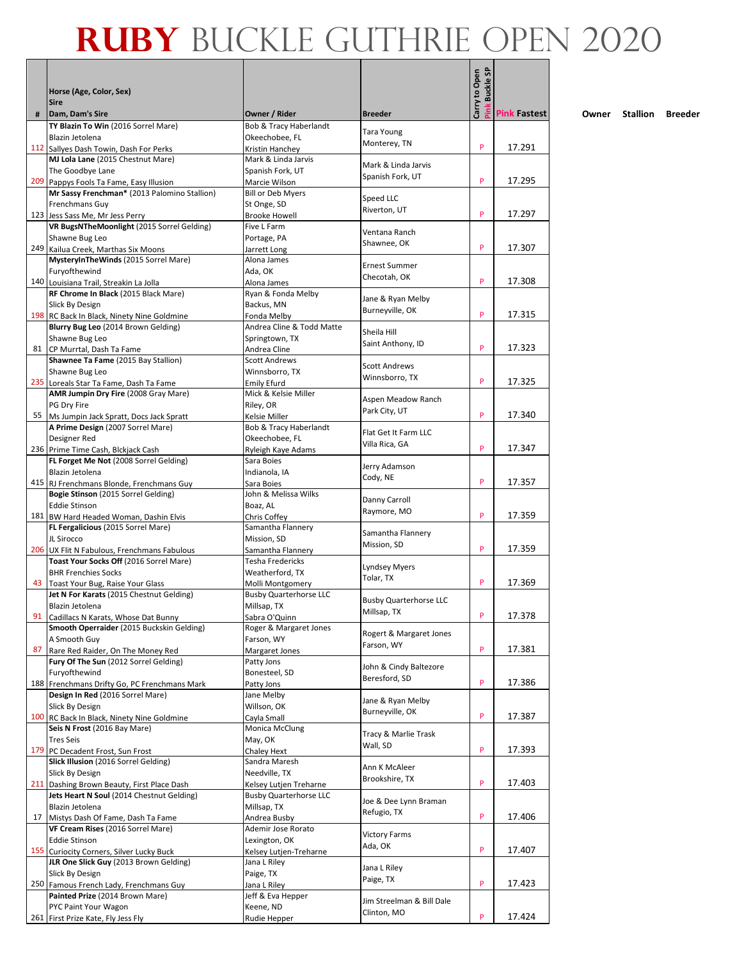|     |                                                                                  |                                              |                                              | Carry to Open<br><b>Buckle SP</b> |                     |
|-----|----------------------------------------------------------------------------------|----------------------------------------------|----------------------------------------------|-----------------------------------|---------------------|
|     | Horse (Age, Color, Sex)                                                          |                                              |                                              |                                   |                     |
| #   | <b>Sire</b><br>Dam, Dam's Sire                                                   | Owner / Rider                                | <b>Breeder</b>                               |                                   | <b>Pink Fastest</b> |
|     | TY Blazin To Win (2016 Sorrel Mare)                                              | Bob & Tracy Haberlandt                       | Tara Young                                   |                                   |                     |
|     | Blazin Jetolena                                                                  | Okeechobee, FL                               | Monterey, TN                                 | P                                 | 17.291              |
| 112 | Sallyes Dash Towin, Dash For Perks<br>MJ Lola Lane (2015 Chestnut Mare)          | Kristin Hanchey<br>Mark & Linda Jarvis       |                                              |                                   |                     |
|     | The Goodbye Lane                                                                 | Spanish Fork, UT                             | Mark & Linda Jarvis                          |                                   |                     |
| 209 | Pappys Fools Ta Fame, Easy Illusion                                              | Marcie Wilson                                | Spanish Fork, UT                             | P                                 | 17.295              |
|     | Mr Sassy Frenchman* (2013 Palomino Stallion)<br>Frenchmans Guy                   | <b>Bill or Deb Myers</b><br>St Onge, SD      | Speed LLC                                    |                                   |                     |
|     | 123 Jess Sass Me, Mr Jess Perry                                                  | <b>Brooke Howell</b>                         | Riverton, UT                                 | P                                 | 17.297              |
|     | VR BugsNTheMoonlight (2015 Sorrel Gelding)                                       | Five L Farm                                  | Ventana Ranch                                |                                   |                     |
|     | Shawne Bug Leo                                                                   | Portage, PA                                  | Shawnee, OK                                  | P                                 | 17.307              |
|     | 249 Kailua Creek, Marthas Six Moons<br>MysteryInTheWinds (2015 Sorrel Mare)      | Jarrett Long<br>Alona James                  |                                              |                                   |                     |
|     | Furyofthewind                                                                    | Ada, OK                                      | <b>Ernest Summer</b>                         |                                   |                     |
|     | 140 Louisiana Trail, Streakin La Jolla                                           | Alona James                                  | Checotah, OK                                 | P                                 | 17.308              |
|     | RF Chrome In Black (2015 Black Mare)<br>Slick By Design                          | Ryan & Fonda Melby<br>Backus, MN             | Jane & Ryan Melby                            |                                   |                     |
|     | 198 RC Back In Black, Ninety Nine Goldmine                                       | Fonda Melby                                  | Burneyville, OK                              | P                                 | 17.315              |
|     | Blurry Bug Leo (2014 Brown Gelding)                                              | Andrea Cline & Todd Matte                    | Sheila Hill                                  |                                   |                     |
|     | Shawne Bug Leo                                                                   | Springtown, TX                               | Saint Anthony, ID                            | P                                 | 17.323              |
| 81  | CP Murrtal, Dash Ta Fame<br>Shawnee Ta Fame (2015 Bay Stallion)                  | Andrea Cline<br><b>Scott Andrews</b>         |                                              |                                   |                     |
|     | Shawne Bug Leo                                                                   | Winnsborro, TX                               | <b>Scott Andrews</b>                         |                                   |                     |
|     | 235 Loreals Star Ta Fame, Dash Ta Fame                                           | <b>Emily Efurd</b>                           | Winnsborro, TX                               | P                                 | 17.325              |
|     | AMR Jumpin Dry Fire (2008 Gray Mare)                                             | Mick & Kelsie Miller                         | Aspen Meadow Ranch                           |                                   |                     |
| 55  | PG Dry Fire<br>Ms Jumpin Jack Spratt, Docs Jack Spratt                           | Riley, OR<br>Kelsie Miller                   | Park City, UT                                | P                                 | 17.340              |
|     | A Prime Design (2007 Sorrel Mare)                                                | Bob & Tracy Haberlandt                       |                                              |                                   |                     |
|     | Designer Red                                                                     | Okeechobee, FL                               | Flat Get It Farm LLC<br>Villa Rica, GA       |                                   |                     |
|     | 236 Prime Time Cash, Blckjack Cash                                               | Ryleigh Kaye Adams                           |                                              | P                                 | 17.347              |
|     | FL Forget Me Not (2008 Sorrel Gelding)<br>Blazin Jetolena                        | Sara Boies<br>Indianola, IA                  | Jerry Adamson                                |                                   |                     |
|     | 415 RJ Frenchmans Blonde, Frenchmans Guy                                         | Sara Boies                                   | Cody, NE                                     | P                                 | 17.357              |
|     | Bogie Stinson (2015 Sorrel Gelding)                                              | John & Melissa Wilks                         | Danny Carroll                                |                                   |                     |
|     | <b>Eddie Stinson</b>                                                             | Boaz, AL                                     | Raymore, MO                                  |                                   |                     |
|     | 181 BW Hard Headed Woman, Dashin Elvis<br>FL Fergalicious (2015 Sorrel Mare)     | Chris Coffey<br>Samantha Flannery            |                                              | P                                 | 17.359              |
|     | JL Sirocco                                                                       | Mission, SD                                  | Samantha Flannery                            |                                   |                     |
|     | 206 UX Flit N Fabulous, Frenchmans Fabulous                                      | Samantha Flannery                            | Mission, SD                                  | P                                 | 17.359              |
|     | Toast Your Socks Off (2016 Sorrel Mare)                                          | <b>Tesha Fredericks</b>                      | <b>Lyndsey Myers</b>                         |                                   |                     |
| 43  | <b>BHR Frenchies Socks</b><br>Toast Your Bug, Raise Your Glass                   | Weatherford, TX<br>Molli Montgomery          | Tolar, TX                                    | P                                 | 17.369              |
|     | Jet N For Karats (2015 Chestnut Gelding)                                         | <b>Busby Quarterhorse LLC</b>                |                                              |                                   |                     |
|     | Blazin Jetolena                                                                  | Millsap, TX                                  | <b>Busby Quarterhorse LLC</b><br>Millsap, TX |                                   |                     |
| 91  | Cadillacs N Karats, Whose Dat Bunny                                              | Sabra O'Quinn                                |                                              | P                                 | 17.378              |
|     | Smooth Operraider (2015 Buckskin Gelding)<br>A Smooth Guy                        | Roger & Margaret Jones<br>Farson, WY         | Rogert & Margaret Jones                      |                                   |                     |
| 87  | Rare Red Raider, On The Money Red                                                | Margaret Jones                               | Farson, WY                                   | P                                 | 17.381              |
|     | Fury Of The Sun (2012 Sorrel Gelding)                                            | Patty Jons                                   | John & Cindy Baltezore                       |                                   |                     |
|     | Furyofthewind                                                                    | Bonesteel, SD                                | Beresford, SD                                | P                                 |                     |
|     | 188 Frenchmans Drifty Go, PC Frenchmans Mark<br>Design In Red (2016 Sorrel Mare) | Patty Jons<br>Jane Melby                     |                                              |                                   | 17.386              |
|     | Slick By Design                                                                  | Willson, OK                                  | Jane & Ryan Melby                            |                                   |                     |
|     | 100 RC Back In Black, Ninety Nine Goldmine                                       | Cavla Small                                  | Burneyville, OK                              | P                                 | 17.387              |
|     | Seis N Frost (2016 Bay Mare)                                                     | Monica McClung                               | Tracy & Marlie Trask                         |                                   |                     |
| 179 | <b>Tres Seis</b><br>PC Decadent Frost, Sun Frost                                 | May, OK<br>Chaley Hext                       | Wall, SD                                     | P                                 | 17.393              |
|     | Slick Illusion (2016 Sorrel Gelding)                                             | Sandra Maresh                                |                                              |                                   |                     |
|     | Slick By Design                                                                  | Needville, TX                                | Ann K McAleer<br>Brookshire, TX              |                                   |                     |
|     | 211 Dashing Brown Beauty, First Place Dash                                       | Kelsey Lutjen Treharne                       |                                              | P                                 | 17.403              |
|     | Jets Heart N Soul (2014 Chestnut Gelding)<br>Blazin Jetolena                     | <b>Busby Quarterhorse LLC</b><br>Millsap, TX | Joe & Dee Lynn Braman                        |                                   |                     |
| 17  | Mistys Dash Of Fame, Dash Ta Fame                                                | Andrea Busby                                 | Refugio, TX                                  | P                                 | 17.406              |
|     | VF Cream Rises (2016 Sorrel Mare)                                                | Ademir Jose Rorato                           | <b>Victory Farms</b>                         |                                   |                     |
|     | <b>Eddie Stinson</b>                                                             | Lexington, OK                                | Ada, OK                                      |                                   |                     |
| 155 | Curiocity Corners, Silver Lucky Buck<br>JLR One Slick Guy (2013 Brown Gelding)   | Kelsey Lutjen-Treharne<br>Jana L Riley       |                                              | P                                 | 17.407              |
|     | Slick By Design                                                                  | Paige, TX                                    | Jana L Riley                                 |                                   |                     |
|     | 250 Famous French Lady, Frenchmans Guy                                           | Jana L Riley                                 | Paige, TX                                    | P                                 | 17.423              |
|     | Painted Prize (2014 Brown Mare)                                                  | Jeff & Eva Hepper                            | Jim Streelman & Bill Dale                    |                                   |                     |
|     | PYC Paint Your Wagon<br>261 First Prize Kate, Fly Jess Fly                       | Keene, ND<br>Rudie Hepper                    | Clinton, MO                                  | P                                 | 17.424              |
|     |                                                                                  |                                              |                                              |                                   |                     |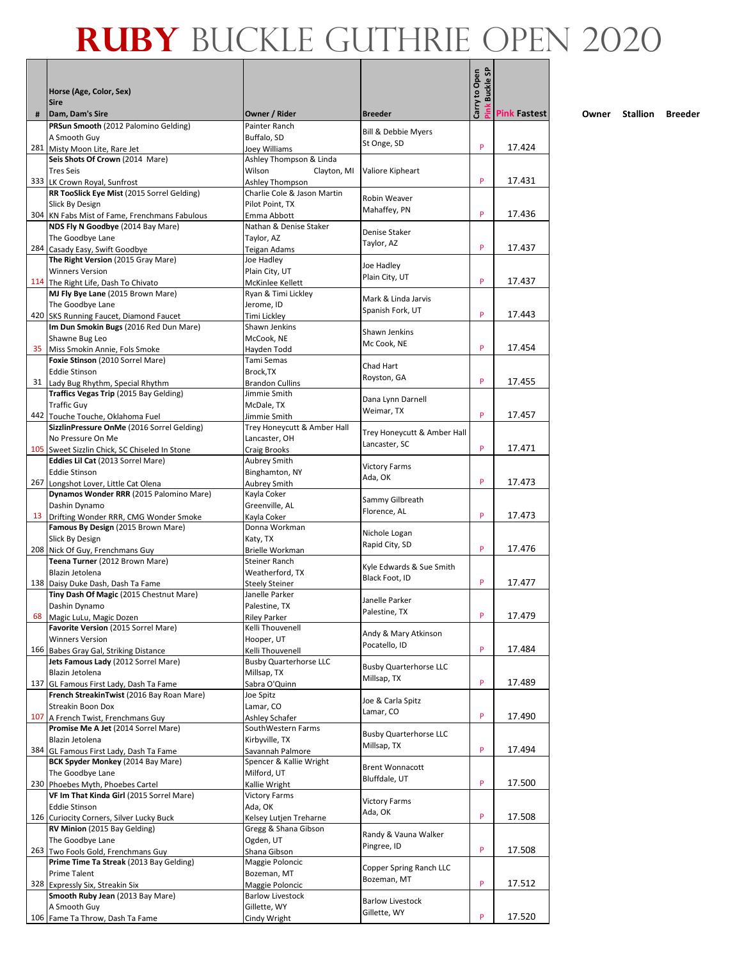|     |                                                                                 |                                                |                                | <b>Buckle SP</b> |                     |
|-----|---------------------------------------------------------------------------------|------------------------------------------------|--------------------------------|------------------|---------------------|
|     | Horse (Age, Color, Sex)                                                         |                                                |                                |                  |                     |
|     | <b>Sire</b>                                                                     |                                                |                                | Carry to Open    |                     |
| #   | Dam, Dam's Sire<br>PRSun Smooth (2012 Palomino Gelding)                         | Owner / Rider<br>Painter Ranch                 | <b>Breeder</b>                 |                  | <b>Pink Fastest</b> |
|     | A Smooth Guy                                                                    | Buffalo, SD                                    | <b>Bill &amp; Debbie Myers</b> |                  |                     |
|     | 281 Misty Moon Lite, Rare Jet                                                   | Joey Williams                                  | St Onge, SD                    | P                | 17.424              |
|     | Seis Shots Of Crown (2014 Mare)                                                 | Ashley Thompson & Linda                        |                                |                  |                     |
|     | <b>Tres Seis</b>                                                                | Wilson<br>Clayton, MI                          | Valiore Kipheart               |                  |                     |
|     | 333 LK Crown Royal, Sunfrost<br>RR TooSlick Eye Mist (2015 Sorrel Gelding)      | Ashley Thompson<br>Charlie Cole & Jason Martin |                                | P                | 17.431              |
|     | <b>Slick By Design</b>                                                          | Pilot Point, TX                                | Robin Weaver                   |                  |                     |
|     | 304 KN Fabs Mist of Fame, Frenchmans Fabulous                                   | Emma Abbott                                    | Mahaffey, PN                   | P                | 17.436              |
|     | NDS Fly N Goodbye (2014 Bay Mare)                                               | Nathan & Denise Staker                         | Denise Staker                  |                  |                     |
|     | The Goodbye Lane                                                                | Taylor, AZ                                     | Taylor, AZ                     |                  |                     |
|     | 284 Casady Easy, Swift Goodbye<br>The Right Version (2015 Gray Mare)            | <b>Teigan Adams</b><br>Joe Hadley              |                                | P                | 17.437              |
|     | <b>Winners Version</b>                                                          | Plain City, UT                                 | Joe Hadley                     |                  |                     |
|     | 114 The Right Life, Dash To Chivato                                             | McKinlee Kellett                               | Plain City, UT                 | P                | 17.437              |
|     | MJ Fly Bye Lane (2015 Brown Mare)                                               | Ryan & Timi Lickley                            | Mark & Linda Jarvis            |                  |                     |
|     | The Goodbye Lane                                                                | Jerome, ID                                     | Spanish Fork, UT               |                  |                     |
|     | 420 SKS Running Faucet, Diamond Faucet                                          | Timi Lickley                                   |                                | P                | 17.443              |
|     | Im Dun Smokin Bugs (2016 Red Dun Mare)<br>Shawne Bug Leo                        | Shawn Jenkins<br>McCook, NE                    | Shawn Jenkins                  |                  |                     |
| 35  | Miss Smokin Annie, Fols Smoke                                                   | Hayden Todd                                    | Mc Cook, NE                    | P                | 17.454              |
|     | Foxie Stinson (2010 Sorrel Mare)                                                | Tami Semas                                     |                                |                  |                     |
|     | <b>Eddie Stinson</b>                                                            | Brock, TX                                      | Chad Hart<br>Royston, GA       |                  |                     |
|     | 31 Lady Bug Rhythm, Special Rhythm                                              | <b>Brandon Cullins</b>                         |                                | P                | 17.455              |
|     | Traffics Vegas Trip (2015 Bay Gelding)                                          | Jimmie Smith                                   | Dana Lynn Darnell              |                  |                     |
|     | <b>Traffic Guy</b><br>442 Touche Touche, Oklahoma Fuel                          | McDale, TX<br>Jimmie Smith                     | Weimar, TX                     | P                | 17.457              |
|     | SizzlinPressure OnMe (2016 Sorrel Gelding)                                      | Trey Honeycutt & Amber Hall                    |                                |                  |                     |
|     | No Pressure On Me                                                               | Lancaster, OH                                  | Trey Honeycutt & Amber Hall    |                  |                     |
|     | 105 Sweet Sizzlin Chick, SC Chiseled In Stone                                   | <b>Craig Brooks</b>                            | Lancaster, SC                  | P                | 17.471              |
|     | Eddies Lil Cat (2013 Sorrel Mare)                                               | Aubrey Smith                                   | <b>Victory Farms</b>           |                  |                     |
|     | <b>Eddie Stinson</b>                                                            | Binghamton, NY                                 | Ada, OK                        | P                | 17.473              |
|     | 267 Longshot Lover, Little Cat Olena<br>Dynamos Wonder RRR (2015 Palomino Mare) | <b>Aubrey Smith</b><br>Kayla Coker             |                                |                  |                     |
|     | Dashin Dynamo                                                                   | Greenville, AL                                 | Sammy Gilbreath                |                  |                     |
| 13  | Drifting Wonder RRR, CMG Wonder Smoke                                           | Kayla Coker                                    | Florence, AL                   | P                | 17.473              |
|     | Famous By Design (2015 Brown Mare)                                              | Donna Workman                                  | Nichole Logan                  |                  |                     |
|     | Slick By Design                                                                 | Katy, TX                                       | Rapid City, SD                 | P                |                     |
|     | 208 Nick Of Guy, Frenchmans Guy<br>Teena Turner (2012 Brown Mare)               | Brielle Workman<br><b>Steiner Ranch</b>        |                                |                  | 17.476              |
|     | Blazin Jetolena                                                                 | Weatherford, TX                                | Kyle Edwards & Sue Smith       |                  |                     |
| 138 | Daisy Duke Dash, Dash Ta Fame                                                   | <b>Steely Steiner</b>                          | Black Foot, ID                 | P                | 17.477              |
|     | Tiny Dash Of Magic (2015 Chestnut Mare)                                         | Janelle Parker                                 | Janelle Parker                 |                  |                     |
|     | Dashin Dynamo                                                                   | Palestine, TX                                  | Palestine, TX                  |                  |                     |
|     | 68 Magic LuLu, Magic Dozen<br>Favorite Version (2015 Sorrel Mare)               | <b>Riley Parker</b><br>Kelli Thouvenell        |                                | P                | 17.479              |
|     | <b>Winners Version</b>                                                          | Hooper, UT                                     | Andy & Mary Atkinson           |                  |                     |
|     | 166 Babes Gray Gal, Striking Distance                                           | Kelli Thouvenell                               | Pocatello, ID                  | P                | 17.484              |
|     | Jets Famous Lady (2012 Sorrel Mare)                                             | <b>Busby Quarterhorse LLC</b>                  | <b>Busby Quarterhorse LLC</b>  |                  |                     |
|     | Blazin Jetolena                                                                 | Millsap, TX                                    | Millsap, TX                    |                  |                     |
| 137 | GL Famous First Lady, Dash Ta Fame                                              | Sabra O'Quinn                                  |                                | P                | 17.489              |
|     | French StreakinTwist (2016 Bay Roan Mare)<br>Streakin Boon Dox                  | Joe Spitz<br>Lamar, CO                         | Joe & Carla Spitz              |                  |                     |
|     | 107 A French Twist, Frenchmans Guy                                              | Ashley Schafer                                 | Lamar, CO                      | P                | 17.490              |
|     | Promise Me A Jet (2014 Sorrel Mare)                                             | SouthWestern Farms                             | <b>Busby Quarterhorse LLC</b>  |                  |                     |
|     | Blazin Jetolena                                                                 | Kirbyville, TX                                 | Millsap, TX                    |                  |                     |
| 384 | GL Famous First Lady, Dash Ta Fame                                              | Savannah Palmore                               |                                | P                | 17.494              |
|     | BCK Spyder Monkey (2014 Bay Mare)                                               | Spencer & Kallie Wright                        | <b>Brent Wonnacott</b>         |                  |                     |
|     | The Goodbye Lane<br>230 Phoebes Myth, Phoebes Cartel                            | Milford, UT<br>Kallie Wright                   | Bluffdale, UT                  | P                | 17.500              |
|     | VF Im That Kinda Girl (2015 Sorrel Mare)                                        | <b>Victory Farms</b>                           |                                |                  |                     |
|     | <b>Eddie Stinson</b>                                                            | Ada, OK                                        | <b>Victory Farms</b>           |                  |                     |
|     | 126 Curiocity Corners, Silver Lucky Buck                                        | Kelsey Lutjen Treharne                         | Ada, OK                        | P                | 17.508              |
|     | RV Minion (2015 Bay Gelding)                                                    | Gregg & Shana Gibson                           | Randy & Vauna Walker           |                  |                     |
|     | The Goodbye Lane<br>263 Two Fools Gold, Frenchmans Guy                          | Ogden, UT<br>Shana Gibson                      | Pingree, ID                    | P                | 17.508              |
|     | Prime Time Ta Streak (2013 Bay Gelding)                                         | Maggie Poloncic                                |                                |                  |                     |
|     | Prime Talent                                                                    | Bozeman, MT                                    | Copper Spring Ranch LLC        |                  |                     |
|     | 328 Expressly Six, Streakin Six                                                 | Maggie Poloncic                                | Bozeman, MT                    | P                | 17.512              |
|     | Smooth Ruby Jean (2013 Bay Mare)                                                | <b>Barlow Livestock</b>                        | <b>Barlow Livestock</b>        |                  |                     |
|     | A Smooth Guy                                                                    | Gillette, WY                                   | Gillette, WY                   | P                | 17.520              |
|     | 106 Fame Ta Throw, Dash Ta Fame                                                 | Cindy Wright                                   |                                |                  |                     |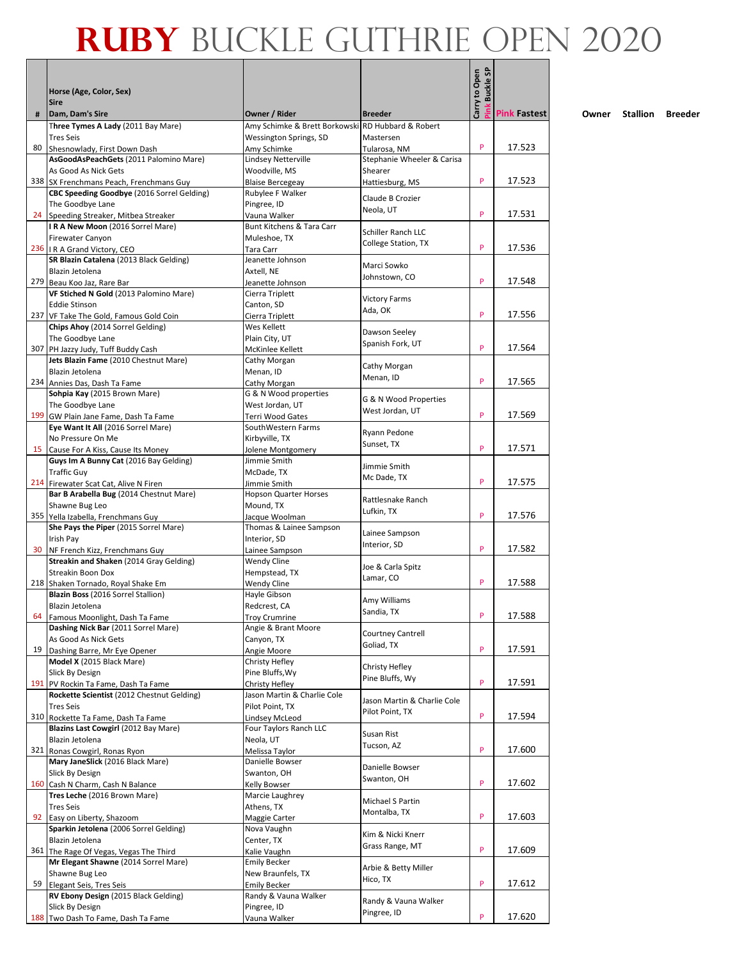|     | Horse (Age, Color, Sex)<br><b>Sire</b>                                           |                                                   |                                                | Carry to Open<br><b>Buckle SF</b> |                     |
|-----|----------------------------------------------------------------------------------|---------------------------------------------------|------------------------------------------------|-----------------------------------|---------------------|
| #   | Dam, Dam's Sire                                                                  | Owner / Rider                                     | <b>Breeder</b>                                 |                                   | <b>Pink Fastest</b> |
|     | Three Tymes A Lady (2011 Bay Mare)                                               | Amy Schimke & Brett Borkowski RD Hubbard & Robert |                                                |                                   |                     |
|     | <b>Tres Seis</b>                                                                 | Wessington Springs, SD                            | Mastersen                                      |                                   |                     |
| 80  | Shesnowlady, First Down Dash<br>AsGoodAsPeachGets (2011 Palomino Mare)           | Amy Schimke<br>Lindsey Netterville                | Tularosa, NM<br>Stephanie Wheeler & Carisa     | P                                 | 17.523              |
|     | As Good As Nick Gets                                                             | Woodville, MS                                     | Shearer                                        |                                   |                     |
|     | 338 SX Frenchmans Peach, Frenchmans Guy                                          | <b>Blaise Bercegeay</b>                           | Hattiesburg, MS                                | P                                 | 17.523              |
|     | CBC Speeding Goodbye (2016 Sorrel Gelding)                                       | Rubylee F Walker                                  | Claude B Crozier                               |                                   |                     |
|     | The Goodbye Lane                                                                 | Pingree, ID                                       | Neola, UT                                      |                                   |                     |
|     | 24 Speeding Streaker, Mitbea Streaker<br>IRA New Moon (2016 Sorrel Mare)         | Vauna Walker<br>Bunt Kitchens & Tara Carr         |                                                | P                                 | 17.531              |
|     | Firewater Canyon                                                                 | Muleshoe, TX                                      | Schiller Ranch LLC                             |                                   |                     |
|     | 236   R A Grand Victory, CEO                                                     | Tara Carr                                         | College Station, TX                            | P                                 | 17.536              |
|     | SR Blazin Catalena (2013 Black Gelding)                                          | Jeanette Johnson                                  | Marci Sowko                                    |                                   |                     |
|     | Blazin Jetolena                                                                  | Axtell, NE                                        | Johnstown, CO                                  | P                                 | 17.548              |
|     | 279 Beau Koo Jaz, Rare Bar<br>VF Stiched N Gold (2013 Palomino Mare)             | Jeanette Johnson<br>Cierra Triplett               |                                                |                                   |                     |
|     | <b>Eddie Stinson</b>                                                             | Canton, SD                                        | <b>Victory Farms</b>                           |                                   |                     |
|     | 237 VF Take The Gold, Famous Gold Coin                                           | Cierra Triplett                                   | Ada, OK                                        | P                                 | 17.556              |
|     | Chips Ahoy (2014 Sorrel Gelding)                                                 | Wes Kellett                                       | Dawson Seeley                                  |                                   |                     |
|     | The Goodbye Lane                                                                 | Plain City, UT                                    | Spanish Fork, UT                               | P                                 | 17.564              |
|     | 307 PH Jazzy Judy, Tuff Buddy Cash<br>Jets Blazin Fame (2010 Chestnut Mare)      | McKinlee Kellett<br>Cathy Morgan                  |                                                |                                   |                     |
|     | Blazin Jetolena                                                                  | Menan, ID                                         | Cathy Morgan                                   |                                   |                     |
|     | 234 Annies Das, Dash Ta Fame                                                     | Cathy Morgan                                      | Menan, ID                                      | P                                 | 17.565              |
|     | Sohpia Kay (2015 Brown Mare)                                                     | G & N Wood properties                             | G & N Wood Properties                          |                                   |                     |
|     | The Goodbye Lane                                                                 | West Jordan, UT                                   | West Jordan, UT                                | P                                 | 17.569              |
|     | 199 GW Plain Jane Fame, Dash Ta Fame<br>Eye Want It All (2016 Sorrel Mare)       | Terri Wood Gates<br>SouthWestern Farms            |                                                |                                   |                     |
|     | No Pressure On Me                                                                | Kirbyville, TX                                    | Ryann Pedone                                   |                                   |                     |
| 15  | Cause For A Kiss, Cause Its Money                                                | Jolene Montgomery                                 | Sunset, TX                                     | P                                 | 17.571              |
|     | Guys Im A Bunny Cat (2016 Bay Gelding)                                           | Jimmie Smith                                      | Jimmie Smith                                   |                                   |                     |
|     | <b>Traffic Guy</b>                                                               | McDade, TX<br>Jimmie Smith                        | Mc Dade, TX                                    | P                                 | 17.575              |
|     | 214 Firewater Scat Cat, Alive N Firen<br>Bar B Arabella Bug (2014 Chestnut Mare) | <b>Hopson Quarter Horses</b>                      |                                                |                                   |                     |
|     | Shawne Bug Leo                                                                   | Mound, TX                                         | Rattlesnake Ranch                              |                                   |                     |
|     | 355 Yella Izabella, Frenchmans Guy                                               | Jacque Woolman                                    | Lufkin, TX                                     | P                                 | 17.576              |
|     | She Pays the Piper (2015 Sorrel Mare)                                            | Thomas & Lainee Sampson                           | Lainee Sampson                                 |                                   |                     |
| 30  | Irish Pay<br>NF French Kizz, Frenchmans Guy                                      | Interior, SD<br>Lainee Sampson                    | Interior, SD                                   | P                                 | 17.582              |
|     | Streakin and Shaken (2014 Gray Gelding)                                          | <b>Wendy Cline</b>                                |                                                |                                   |                     |
|     | Streakin Boon Dox                                                                | Hempstead, TX                                     | Joe & Carla Spitz<br>Lamar, CO                 |                                   |                     |
|     | 218 Shaken Tornado, Royal Shake Em                                               | <b>Wendy Cline</b>                                |                                                | P                                 | 17.588              |
|     | Blazin Boss (2016 Sorrel Stallion)                                               | Hayle Gibson                                      | Amy Williams                                   |                                   |                     |
| 64  | Blazin Jetolena<br>Famous Moonlight, Dash Ta Fame                                | Redcrest, CA<br><b>Troy Crumrine</b>              | Sandia, TX                                     | P                                 | 17.588              |
|     | Dashing Nick Bar (2011 Sorrel Mare)                                              | Angie & Brant Moore                               |                                                |                                   |                     |
|     | As Good As Nick Gets                                                             | Canyon, TX                                        | <b>Courtney Cantrell</b><br>Goliad, TX         |                                   |                     |
| 19  | Dashing Barre, Mr Eye Opener                                                     | Angie Moore                                       |                                                | P                                 | 17.591              |
|     | Model X (2015 Black Mare)                                                        | Christy Hefley                                    | Christy Hefley                                 |                                   |                     |
| 191 | Slick By Design<br>PV Rockin Ta Fame, Dash Ta Fame                               | Pine Bluffs, Wy<br>Christy Hefley                 | Pine Bluffs, Wy                                | P                                 | 17.591              |
|     | Rockette Scientist (2012 Chestnut Gelding)                                       | Jason Martin & Charlie Cole                       |                                                |                                   |                     |
|     | <b>Tres Seis</b>                                                                 | Pilot Point, TX                                   | Jason Martin & Charlie Cole<br>Pilot Point, TX |                                   |                     |
|     | 310 Rockette Ta Fame, Dash Ta Fame                                               | Lindsey McLeod                                    |                                                | P                                 | 17.594              |
|     | Blazins Last Cowgirl (2012 Bay Mare)<br>Blazin Jetolena                          | Four Taylors Ranch LLC<br>Neola, UT               | Susan Rist                                     |                                   |                     |
|     | 321 Ronas Cowgirl, Ronas Ryon                                                    | Melissa Taylor                                    | Tucson, AZ                                     | P                                 | 17.600              |
|     | Mary JaneSlick (2016 Black Mare)                                                 | Danielle Bowser                                   |                                                |                                   |                     |
|     | Slick By Design                                                                  | Swanton, OH                                       | Danielle Bowser<br>Swanton, OH                 |                                   |                     |
|     | 160 Cash N Charm, Cash N Balance                                                 | Kelly Bowser                                      |                                                | P                                 | 17.602              |
|     | Tres Leche (2016 Brown Mare)<br><b>Tres Seis</b>                                 | Marcie Laughrey<br>Athens, TX                     | Michael S Partin                               |                                   |                     |
| 92  | Easy on Liberty, Shazoom                                                         | Maggie Carter                                     | Montalba, TX                                   | P                                 | 17.603              |
|     | Sparkin Jetolena (2006 Sorrel Gelding)                                           | Nova Vaughn                                       |                                                |                                   |                     |
|     | Blazin Jetolena                                                                  | Center, TX                                        | Kim & Nicki Knerr<br>Grass Range, MT           |                                   |                     |
|     | 361 The Rage Of Vegas, Vegas The Third                                           | Kalie Vaughn                                      |                                                | P                                 | 17.609              |
|     | Mr Elegant Shawne (2014 Sorrel Mare)<br>Shawne Bug Leo                           | <b>Emily Becker</b><br>New Braunfels, TX          | Arbie & Betty Miller                           |                                   |                     |
| 59  | Elegant Seis, Tres Seis                                                          | <b>Emily Becker</b>                               | Hico, TX                                       | P                                 | 17.612              |
|     | RV Ebony Design (2015 Black Gelding)                                             | Randy & Vauna Walker                              |                                                |                                   |                     |
|     | Slick By Design                                                                  | Pingree, ID                                       | Randy & Vauna Walker<br>Pingree, ID            |                                   |                     |
|     | 188 Two Dash To Fame, Dash Ta Fame                                               | Vauna Walker                                      |                                                | P                                 | 17.620              |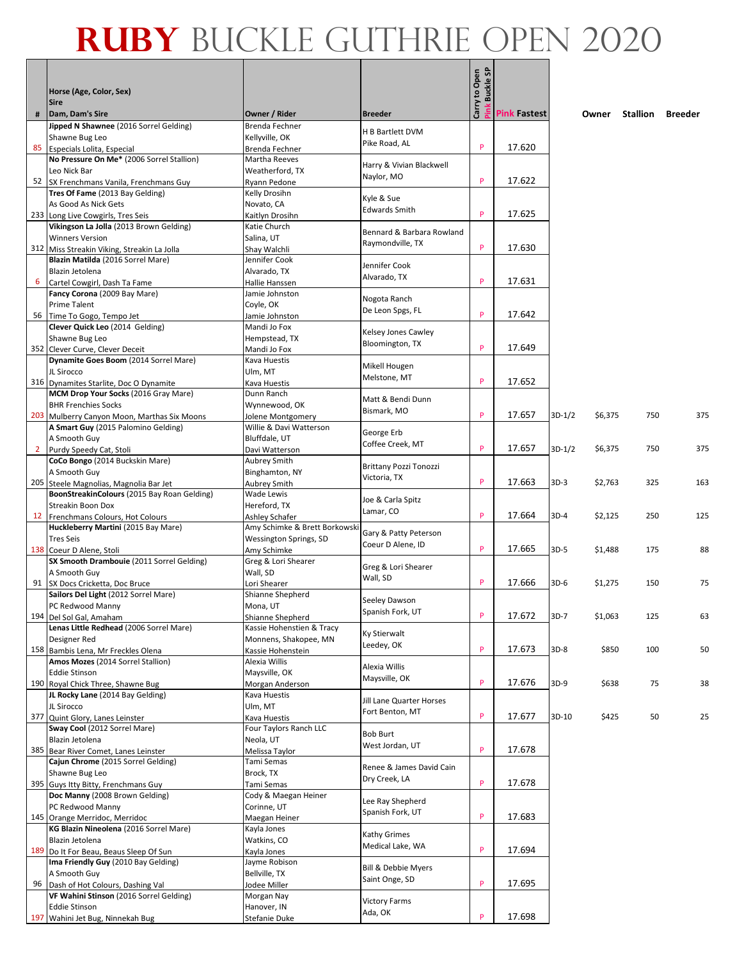|   |                                                                           |                                                 |                                        | Carry to Open<br>Pink Buckle SP |                     |          |         |          |         |
|---|---------------------------------------------------------------------------|-------------------------------------------------|----------------------------------------|---------------------------------|---------------------|----------|---------|----------|---------|
|   | Horse (Age, Color, Sex)                                                   |                                                 |                                        |                                 |                     |          |         |          |         |
| # | <b>Sire</b><br>Dam, Dam's Sire                                            | Owner / Rider                                   | <b>Breeder</b>                         |                                 | <b>Pink Fastest</b> |          | Owner   | Stallion | Breeder |
|   | Jipped N Shawnee (2016 Sorrel Gelding)                                    | Brenda Fechner                                  | H B Bartlett DVM                       |                                 |                     |          |         |          |         |
|   | Shawne Bug Leo                                                            | Kellyville, OK                                  | Pike Road, AL                          |                                 |                     |          |         |          |         |
|   | 85 Especials Lolita, Especial                                             | Brenda Fechner                                  |                                        | P                               | 17.620              |          |         |          |         |
|   | No Pressure On Me* (2006 Sorrel Stallion)<br>Leo Nick Bar                 | Martha Reeves<br>Weatherford, TX                | Harry & Vivian Blackwell               |                                 |                     |          |         |          |         |
|   | 52 SX Frenchmans Vanila, Frenchmans Guy                                   | Ryann Pedone                                    | Naylor, MO                             | P                               | 17.622              |          |         |          |         |
|   | Tres Of Fame (2013 Bay Gelding)                                           | Kelly Drosihn                                   | Kyle & Sue                             |                                 |                     |          |         |          |         |
|   | As Good As Nick Gets                                                      | Novato, CA                                      | <b>Edwards Smith</b>                   |                                 |                     |          |         |          |         |
|   | 233 Long Live Cowgirls, Tres Seis                                         | Kaitlyn Drosihn                                 |                                        | P                               | 17.625              |          |         |          |         |
|   | Vikingson La Jolla (2013 Brown Gelding)<br><b>Winners Version</b>         | Katie Church<br>Salina, UT                      | Bennard & Barbara Rowland              |                                 |                     |          |         |          |         |
|   | 312 Miss Streakin Viking, Streakin La Jolla                               | Shay Walchli                                    | Raymondville, TX                       | P                               | 17.630              |          |         |          |         |
|   | Blazin Matilda (2016 Sorrel Mare)                                         | Jennifer Cook                                   |                                        |                                 |                     |          |         |          |         |
|   | Blazin Jetolena                                                           | Alvarado, TX                                    | Jennifer Cook<br>Alvarado, TX          |                                 |                     |          |         |          |         |
| 6 | Cartel Cowgirl, Dash Ta Fame                                              | Hallie Hanssen                                  |                                        | P                               | 17.631              |          |         |          |         |
|   | Fancy Corona (2009 Bay Mare)<br><b>Prime Talent</b>                       | Jamie Johnston<br>Coyle, OK                     | Nogota Ranch                           |                                 |                     |          |         |          |         |
|   | 56 Time To Gogo, Tempo Jet                                                | Jamie Johnston                                  | De Leon Spgs, FL                       | P                               | 17.642              |          |         |          |         |
|   | Clever Quick Leo (2014 Gelding)                                           | Mandi Jo Fox                                    |                                        |                                 |                     |          |         |          |         |
|   | Shawne Bug Leo                                                            | Hempstead, TX                                   | Kelsey Jones Cawley<br>Bloomington, TX |                                 |                     |          |         |          |         |
|   | 352 Clever Curve, Clever Deceit                                           | Mandi Jo Fox                                    |                                        | P                               | 17.649              |          |         |          |         |
|   | Dynamite Goes Boom (2014 Sorrel Mare)                                     | Kava Huestis                                    | Mikell Hougen                          |                                 |                     |          |         |          |         |
|   | JL Sirocco<br>316 Dynamites Starlite, Doc O Dynamite                      | Ulm, MT<br>Kava Huestis                         | Melstone, MT                           | P                               | 17.652              |          |         |          |         |
|   | MCM Drop Your Socks (2016 Gray Mare)                                      | Dunn Ranch                                      |                                        |                                 |                     |          |         |          |         |
|   | <b>BHR Frenchies Socks</b>                                                | Wynnewood, OK                                   | Matt & Bendi Dunn                      |                                 |                     |          |         |          |         |
|   | 203 Mulberry Canyon Moon, Marthas Six Moons                               | Jolene Montgomery                               | Bismark, MO                            | P                               | 17.657              | $3D-1/2$ | \$6,375 | 750      | 375     |
|   | A Smart Guy (2015 Palomino Gelding)                                       | Willie & Davi Watterson                         | George Erb                             |                                 |                     |          |         |          |         |
|   | A Smooth Guy                                                              | Bluffdale, UT                                   | Coffee Creek, MT                       | P                               | 17.657              | $3D-1/2$ | \$6,375 | 750      | 375     |
|   | 2 Purdy Speedy Cat, Stoli<br>CoCo Bongo (2014 Buckskin Mare)              | Davi Watterson<br><b>Aubrey Smith</b>           |                                        |                                 |                     |          |         |          |         |
|   | A Smooth Guy                                                              | Binghamton, NY                                  | Brittany Pozzi Tonozzi                 |                                 |                     |          |         |          |         |
|   | 205 Steele Magnolias, Magnolia Bar Jet                                    | Aubrey Smith                                    | Victoria, TX                           | P                               | 17.663              | $3D-3$   | \$2,763 | 325      | 163     |
|   | BoonStreakinColours (2015 Bay Roan Gelding)                               | Wade Lewis                                      | Joe & Carla Spitz                      |                                 |                     |          |         |          |         |
|   | Streakin Boon Dox                                                         | Hereford, TX                                    | Lamar, CO                              | P                               |                     |          |         |          |         |
|   | 12 Frenchmans Colours, Hot Colours<br>Huckleberry Martini (2015 Bay Mare) | Ashley Schafer<br>Amy Schimke & Brett Borkowski |                                        |                                 | 17.664              | 3D-4     | \$2,125 | 250      | 125     |
|   | <b>Tres Seis</b>                                                          | Wessington Springs, SD                          | Gary & Patty Peterson                  |                                 |                     |          |         |          |         |
|   | 138 Coeur D Alene, Stoli                                                  | Amy Schimke                                     | Coeur D Alene, ID                      | P                               | 17.665              | 3D-5     | \$1,488 | 175      | 88      |
|   | SX Smooth Drambouie (2011 Sorrel Gelding)                                 | Greg & Lori Shearer                             | Greg & Lori Shearer                    |                                 |                     |          |         |          |         |
|   | A Smooth Guy                                                              | Wall, SD                                        | Wall, SD                               | P                               |                     |          |         |          |         |
|   | 91 SX Docs Cricketta, Doc Bruce<br>Sailors Del Light (2012 Sorrel Mare)   | Lori Shearer<br>Shianne Shepherd                |                                        |                                 | 17.666              | $3D-6$   | \$1,275 | 150      | 75      |
|   | PC Redwood Manny                                                          | Mona, UT                                        | Seeley Dawson                          |                                 |                     |          |         |          |         |
|   | 194 Del Sol Gal, Amaham                                                   | Shianne Shepherd                                | Spanish Fork, UT                       | P                               | 17.672              | $3D-7$   | \$1,063 | 125      | 63      |
|   | Lenas Little Redhead (2006 Sorrel Mare)                                   | Kassie Hohenstien & Tracy                       | Ky Stierwalt                           |                                 |                     |          |         |          |         |
|   | Designer Red                                                              | Monnens, Shakopee, MN                           | Leedey, OK                             |                                 |                     |          |         |          |         |
|   | 158 Bambis Lena, Mr Freckles Olena<br>Amos Mozes (2014 Sorrel Stallion)   | Kassie Hohenstein<br>Alexia Willis              |                                        | P                               | 17.673              | $3D-8$   | \$850   | 100      | 50      |
|   | <b>Eddie Stinson</b>                                                      | Maysville, OK                                   | Alexia Willis                          |                                 |                     |          |         |          |         |
|   | 190 Royal Chick Three, Shawne Bug                                         | Morgan Anderson                                 | Maysville, OK                          | P                               | 17.676              | 3D-9     | \$638   | 75       | 38      |
|   | JL Rocky Lane (2014 Bay Gelding)                                          | Kava Huestis                                    | Jill Lane Quarter Horses               |                                 |                     |          |         |          |         |
|   | JL Sirocco                                                                | Ulm, MT                                         | Fort Benton, MT                        | P                               |                     |          |         |          |         |
|   | 377 Quint Glory, Lanes Leinster<br>Sway Cool (2012 Sorrel Mare)           | Kava Huestis<br>Four Taylors Ranch LLC          |                                        |                                 | 17.677              | 3D-10    | \$425   | 50       | 25      |
|   | Blazin Jetolena                                                           | Neola, UT                                       | <b>Bob Burt</b>                        |                                 |                     |          |         |          |         |
|   | 385 Bear River Comet, Lanes Leinster                                      | Melissa Taylor                                  | West Jordan, UT                        | P                               | 17.678              |          |         |          |         |
|   | Cajun Chrome (2015 Sorrel Gelding)                                        | Tami Semas                                      | Renee & James David Cain               |                                 |                     |          |         |          |         |
|   | Shawne Bug Leo                                                            | Brock, TX                                       | Dry Creek, LA                          | P                               |                     |          |         |          |         |
|   | 395 Guys Itty Bitty, Frenchmans Guy<br>Doc Manny (2008 Brown Gelding)     | Tami Semas<br>Cody & Maegan Heiner              |                                        |                                 | 17.678              |          |         |          |         |
|   | PC Redwood Manny                                                          | Corinne, UT                                     | Lee Ray Shepherd                       |                                 |                     |          |         |          |         |
|   | 145 Orange Merridoc, Merridoc                                             | Maegan Heiner                                   | Spanish Fork, UT                       | P                               | 17.683              |          |         |          |         |
|   | KG Blazin Nineolena (2016 Sorrel Mare)                                    | Kayla Jones                                     | Kathy Grimes                           |                                 |                     |          |         |          |         |
|   | Blazin Jetolena                                                           | Watkins, CO                                     | Medical Lake, WA                       |                                 |                     |          |         |          |         |
|   | 189 Do It For Beau, Beaus Sleep Of Sun                                    | Kayla Jones                                     |                                        | P                               | 17.694              |          |         |          |         |
|   | Ima Friendly Guy (2010 Bay Gelding)<br>A Smooth Guy                       | Jayme Robison<br>Bellville, TX                  | Bill & Debbie Myers                    |                                 |                     |          |         |          |         |
|   | 96 Dash of Hot Colours, Dashing Val                                       | Jodee Miller                                    | Saint Onge, SD                         | P                               | 17.695              |          |         |          |         |
|   | VF Wahini Stinson (2016 Sorrel Gelding)                                   | Morgan Nay                                      | <b>Victory Farms</b>                   |                                 |                     |          |         |          |         |
|   | <b>Eddie Stinson</b>                                                      | Hanover, IN                                     | Ada, OK                                |                                 |                     |          |         |          |         |
|   | 197 Wahini Jet Bug, Ninnekah Bug                                          | Stefanie Duke                                   |                                        | P                               | 17.698              |          |         |          |         |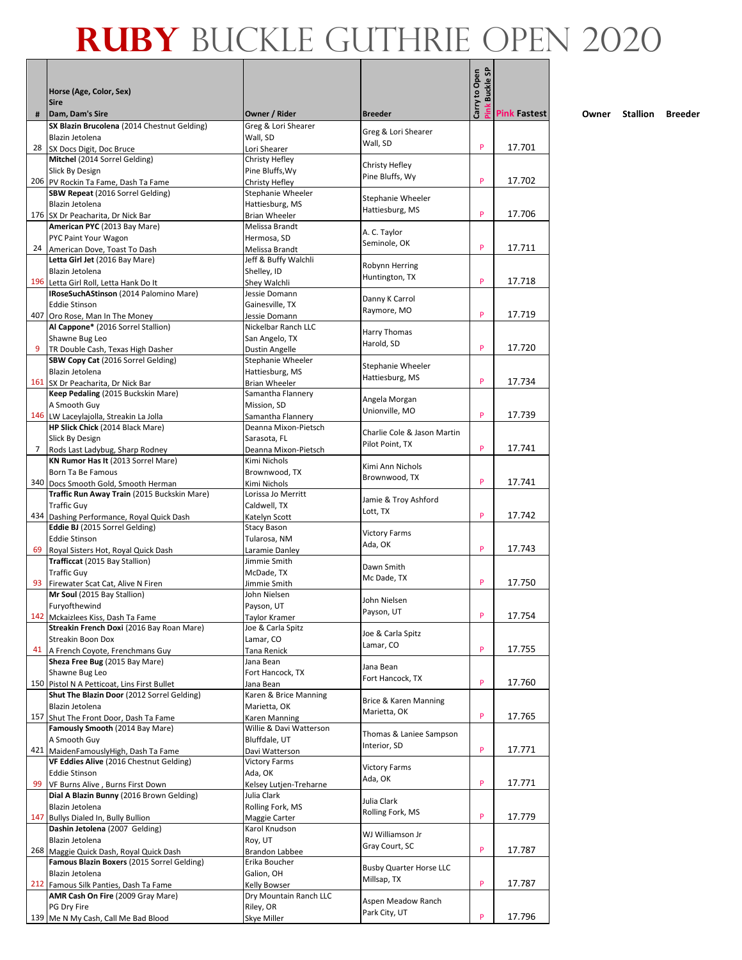|     |                                                                                |                                           |                                               | <b>Buckle SP</b> |                     |
|-----|--------------------------------------------------------------------------------|-------------------------------------------|-----------------------------------------------|------------------|---------------------|
|     | Horse (Age, Color, Sex)                                                        |                                           |                                               |                  |                     |
| #   | <b>Sire</b><br>Dam, Dam's Sire                                                 | Owner / Rider                             | <b>Breeder</b>                                | Carry to Open    | <b>Pink Fastest</b> |
|     | SX Blazin Brucolena (2014 Chestnut Gelding)                                    | Greg & Lori Shearer                       |                                               |                  |                     |
|     | Blazin Jetolena                                                                | Wall, SD                                  | Greg & Lori Shearer<br>Wall, SD               |                  |                     |
| 28  | SX Docs Digit, Doc Bruce                                                       | Lori Shearer                              |                                               | P                | 17.701              |
|     | Mitchel (2014 Sorrel Gelding)<br>Slick By Design                               | Christy Hefley<br>Pine Bluffs, Wy         | Christy Hefley                                |                  |                     |
|     | 206 PV Rockin Ta Fame, Dash Ta Fame                                            | Christy Hefley                            | Pine Bluffs, Wy                               | P                | 17.702              |
|     | SBW Repeat (2016 Sorrel Gelding)                                               | Stephanie Wheeler                         | Stephanie Wheeler                             |                  |                     |
|     | Blazin Jetolena                                                                | Hattiesburg, MS                           | Hattiesburg, MS                               | P                | 17.706              |
|     | 176 SX Dr Peacharita, Dr Nick Bar<br>American PYC (2013 Bay Mare)              | <b>Brian Wheeler</b><br>Melissa Brandt    |                                               |                  |                     |
|     | PYC Paint Your Wagon                                                           | Hermosa, SD                               | A. C. Taylor                                  |                  |                     |
|     | 24 American Dove, Toast To Dash                                                | Melissa Brandt                            | Seminole, OK                                  | P                | 17.711              |
|     | Letta Girl Jet (2016 Bay Mare)                                                 | Jeff & Buffy Walchli                      | Robynn Herring                                |                  |                     |
|     | Blazin Jetolena<br>196 Letta Girl Roll, Letta Hank Do It                       | Shelley, ID<br>Shey Walchli               | Huntington, TX                                | P                | 17.718              |
|     | IRoseSuchAStinson (2014 Palomino Mare)                                         | Jessie Domann                             |                                               |                  |                     |
|     | <b>Eddie Stinson</b>                                                           | Gainesville, TX                           | Danny K Carrol<br>Raymore, MO                 |                  |                     |
| 407 | Oro Rose, Man In The Money                                                     | Jessie Domann                             |                                               | P                | 17.719              |
|     | Al Cappone* (2016 Sorrel Stallion)<br>Shawne Bug Leo                           | Nickelbar Ranch LLC<br>San Angelo, TX     | Harry Thomas                                  |                  |                     |
| 9   | TR Double Cash, Texas High Dasher                                              | Dustin Angelle                            | Harold, SD                                    | P                | 17.720              |
|     | <b>SBW Copy Cat (2016 Sorrel Gelding)</b>                                      | <b>Stephanie Wheeler</b>                  | Stephanie Wheeler                             |                  |                     |
|     | Blazin Jetolena                                                                | Hattiesburg, MS                           | Hattiesburg, MS                               |                  |                     |
|     | 161 SX Dr Peacharita, Dr Nick Bar<br>Keep Pedaling (2015 Buckskin Mare)        | <b>Brian Wheeler</b><br>Samantha Flannery |                                               | P                | 17.734              |
|     | A Smooth Guy                                                                   | Mission, SD                               | Angela Morgan                                 |                  |                     |
|     | 146 LW Laceylajolla, Streakin La Jolla                                         | Samantha Flannery                         | Unionville, MO                                | P                | 17.739              |
|     | HP Slick Chick (2014 Black Mare)                                               | Deanna Mixon-Pietsch                      | Charlie Cole & Jason Martin                   |                  |                     |
| 7   | Slick By Design                                                                | Sarasota, FL                              | Pilot Point, TX                               | P                | 17.741              |
|     | Rods Last Ladybug, Sharp Rodney<br>KN Rumor Has It (2013 Sorrel Mare)          | Deanna Mixon-Pietsch<br>Kimi Nichols      |                                               |                  |                     |
|     | Born Ta Be Famous                                                              | Brownwood, TX                             | Kimi Ann Nichols                              |                  |                     |
|     | 340 Docs Smooth Gold, Smooth Herman                                            | Kimi Nichols                              | Brownwood, TX                                 | P                | 17.741              |
|     | Traffic Run Away Train (2015 Buckskin Mare)                                    | Lorissa Jo Merritt                        | Jamie & Troy Ashford                          |                  |                     |
| 434 | <b>Traffic Guy</b><br>Dashing Performance, Royal Quick Dash                    | Caldwell, TX<br>Katelyn Scott             | Lott, TX                                      | P                | 17.742              |
|     | Eddie BJ (2015 Sorrel Gelding)                                                 | <b>Stacy Bason</b>                        |                                               |                  |                     |
|     | <b>Eddie Stinson</b>                                                           | Tularosa, NM                              | <b>Victory Farms</b><br>Ada, OK               |                  |                     |
| 69  | Royal Sisters Hot, Royal Quick Dash                                            | Laramie Danley<br>Jimmie Smith            |                                               | P                | 17.743              |
|     | Trafficcat (2015 Bay Stallion)<br><b>Traffic Guy</b>                           | McDade, TX                                | Dawn Smith                                    |                  |                     |
| 93  | Firewater Scat Cat, Alive N Firen                                              | Jimmie Smith                              | Mc Dade, TX                                   | P                | 17.750              |
|     | Mr Soul (2015 Bay Stallion)                                                    | John Nielsen                              | John Nielsen                                  |                  |                     |
|     | Furvofthewind                                                                  | Payson, UT                                | Payson, UT                                    | P                | 17.754              |
|     | 142 Mckaizlees Kiss, Dash Ta Fame<br>Streakin French Doxi (2016 Bay Roan Mare) | Taylor Kramer<br>Joe & Carla Spitz        |                                               |                  |                     |
|     | <b>Streakin Boon Dox</b>                                                       | Lamar, CO                                 | Joe & Carla Spitz                             |                  |                     |
|     | 41 A French Coyote, Frenchmans Guy                                             | Tana Renick                               | Lamar, CO                                     | P                | 17.755              |
|     | Sheza Free Bug (2015 Bay Mare)                                                 | Jana Bean                                 | Jana Bean                                     |                  |                     |
|     | Shawne Bug Leo<br>150 Pistol N A Petticoat, Lins First Bullet                  | Fort Hancock, TX<br>Jana Bean             | Fort Hancock, TX                              | P                | 17.760              |
|     | Shut The Blazin Door (2012 Sorrel Gelding)                                     | Karen & Brice Manning                     |                                               |                  |                     |
|     | Blazin Jetolena                                                                | Marietta, OK                              | Brice & Karen Manning<br>Marietta, OK         |                  |                     |
|     | 157 Shut The Front Door, Dash Ta Fame<br>Famously Smooth (2014 Bay Mare)       | Karen Manning                             |                                               | P                | 17.765              |
|     | A Smooth Guy                                                                   | Willie & Davi Watterson<br>Bluffdale, UT  | Thomas & Laniee Sampson                       |                  |                     |
|     | 421 MaidenFamouslyHigh, Dash Ta Fame                                           | Davi Watterson                            | Interior, SD                                  | P                | 17.771              |
|     | VF Eddies Alive (2016 Chestnut Gelding)                                        | <b>Victory Farms</b>                      | <b>Victory Farms</b>                          |                  |                     |
|     | <b>Eddie Stinson</b>                                                           | Ada, OK                                   | Ada, OK                                       | P                | 17.771              |
| 99  | VF Burns Alive, Burns First Down<br>Dial A Blazin Bunny (2016 Brown Gelding)   | Kelsey Lutjen-Treharne<br>Julia Clark     |                                               |                  |                     |
|     | Blazin Jetolena                                                                | Rolling Fork, MS                          | Julia Clark                                   |                  |                     |
| 147 | Bullys Dialed In, Bully Bullion                                                | Maggie Carter                             | Rolling Fork, MS                              | P                | 17.779              |
|     | Dashin Jetolena (2007 Gelding)                                                 | Karol Knudson                             | WJ Williamson Jr                              |                  |                     |
|     | Blazin Jetolena<br>268 Maggie Quick Dash, Royal Quick Dash                     | Roy, UT<br><b>Brandon Labbee</b>          | Gray Court, SC                                | P                | 17.787              |
|     | Famous Blazin Boxers (2015 Sorrel Gelding)                                     | Erika Boucher                             |                                               |                  |                     |
|     | Blazin Jetolena                                                                | Galion, OH                                | <b>Busby Quarter Horse LLC</b><br>Millsap, TX |                  |                     |
|     | 212 Famous Silk Panties, Dash Ta Fame                                          | Kelly Bowser                              |                                               | P                | 17.787              |
|     | AMR Cash On Fire (2009 Gray Mare)<br>PG Dry Fire                               | Dry Mountain Ranch LLC<br>Riley, OR       | Aspen Meadow Ranch                            |                  |                     |
|     | 139 Me N My Cash, Call Me Bad Blood                                            | Skye Miller                               | Park City, UT                                 | P                | 17.796              |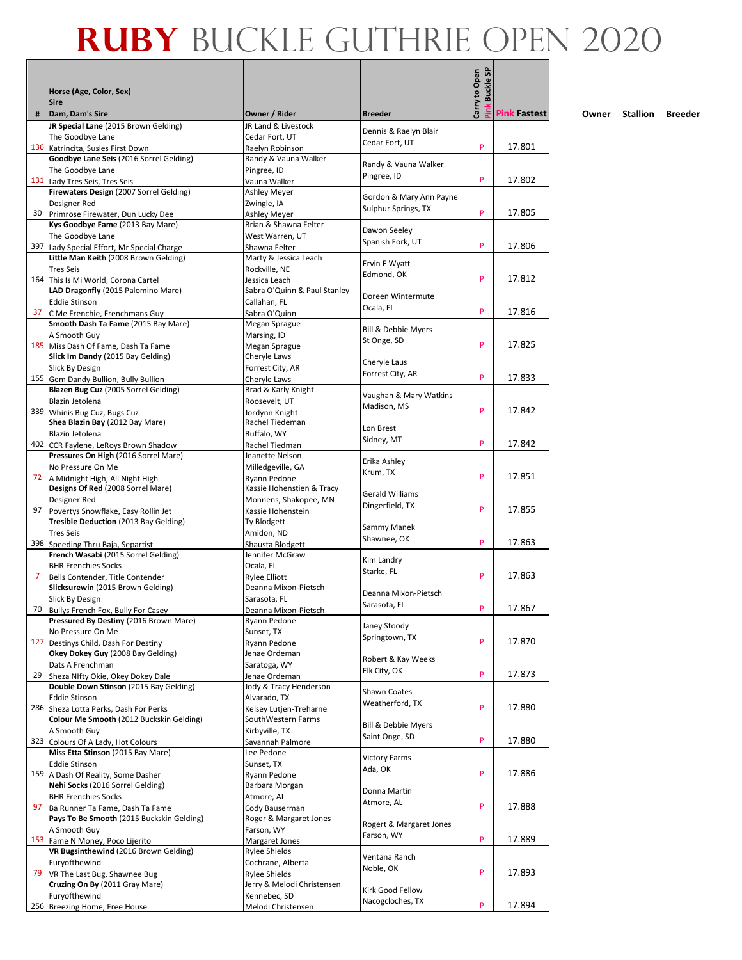|     | Horse (Age, Color, Sex)<br><b>Sire</b>                                          |                                              |                                                | Carry to Open<br><b>Buckle SP</b> |                     |
|-----|---------------------------------------------------------------------------------|----------------------------------------------|------------------------------------------------|-----------------------------------|---------------------|
| #   | Dam, Dam's Sire                                                                 | Owner / Rider                                | <b>Breeder</b>                                 |                                   | <b>Pink Fastest</b> |
|     | JR Special Lane (2015 Brown Gelding)                                            | JR Land & Livestock                          | Dennis & Raelyn Blair                          |                                   |                     |
|     | The Goodbye Lane<br>136 Katrincita, Susies First Down                           | Cedar Fort, UT                               | Cedar Fort, UT                                 | P                                 | 17.801              |
|     | Goodbye Lane Seis (2016 Sorrel Gelding)                                         | Raelyn Robinson<br>Randy & Vauna Walker      |                                                |                                   |                     |
|     | The Goodbye Lane                                                                | Pingree, ID                                  | Randy & Vauna Walker                           |                                   |                     |
|     | 131 Lady Tres Seis, Tres Seis                                                   | Vauna Walker                                 | Pingree, ID                                    | P                                 | 17.802              |
|     | Firewaters Design (2007 Sorrel Gelding)                                         | Ashley Meyer                                 |                                                |                                   |                     |
|     | Designer Red                                                                    | Zwingle, IA                                  | Gordon & Mary Ann Payne<br>Sulphur Springs, TX |                                   |                     |
|     | 30 Primrose Firewater, Dun Lucky Dee                                            | Ashley Meyer                                 |                                                | P                                 | 17.805              |
|     | Kys Goodbye Fame (2013 Bay Mare)                                                | Brian & Shawna Felter                        | Dawon Seeley                                   |                                   |                     |
|     | The Goodbye Lane                                                                | West Warren, UT                              | Spanish Fork, UT                               |                                   |                     |
| 397 | Lady Special Effort, Mr Special Charge<br>Little Man Keith (2008 Brown Gelding) | Shawna Felter<br>Marty & Jessica Leach       |                                                | P                                 | 17.806              |
|     | <b>Tres Seis</b>                                                                | Rockville, NE                                | Ervin E Wyatt                                  |                                   |                     |
|     | 164 This Is Mi World, Corona Cartel                                             | Jessica Leach                                | Edmond, OK                                     | P                                 | 17.812              |
|     | LAD Dragonfly (2015 Palomino Mare)                                              | Sabra O'Quinn & Paul Stanley                 |                                                |                                   |                     |
|     | <b>Eddie Stinson</b>                                                            | Callahan, FL                                 | Doreen Wintermute                              |                                   |                     |
| 37  | C Me Frenchie, Frenchmans Guy                                                   | Sabra O'Quinn                                | Ocala, FL                                      | P                                 | 17.816              |
|     | Smooth Dash Ta Fame (2015 Bay Mare)                                             | Megan Sprague                                | Bill & Debbie Myers                            |                                   |                     |
|     | A Smooth Guy                                                                    | Marsing, ID                                  | St Onge, SD                                    |                                   |                     |
|     | 185 Miss Dash Of Fame, Dash Ta Fame                                             | Megan Sprague                                |                                                | P                                 | 17.825              |
|     | Slick Im Dandy (2015 Bay Gelding)                                               | Cheryle Laws                                 | Cheryle Laus                                   |                                   |                     |
|     | Slick By Design                                                                 | Forrest City, AR                             | Forrest City, AR                               | P                                 | 17.833              |
|     | 155 Gem Dandy Bullion, Bully Bullion<br>Blazen Bug Cuz (2005 Sorrel Gelding)    | Cheryle Laws<br>Brad & Karly Knight          |                                                |                                   |                     |
|     | Blazin Jetolena                                                                 | Roosevelt, UT                                | Vaughan & Mary Watkins                         |                                   |                     |
|     | 339 Whinis Bug Cuz, Bugs Cuz                                                    | Jordynn Knight                               | Madison, MS                                    | P                                 | 17.842              |
|     | Shea Blazin Bay (2012 Bay Mare)                                                 | Rachel Tiedeman                              |                                                |                                   |                     |
|     | Blazin Jetolena                                                                 | Buffalo, WY                                  | Lon Brest                                      |                                   |                     |
| 402 | CCR Faylene, LeRoys Brown Shadow                                                | Rachel Tiedman                               | Sidney, MT                                     | P                                 | 17.842              |
|     | Pressures On High (2016 Sorrel Mare)                                            | Jeanette Nelson                              | Erika Ashley                                   |                                   |                     |
|     | No Pressure On Me                                                               | Milledgeville, GA                            | Krum, TX                                       |                                   |                     |
|     | 72   A Midnight High, All Night High                                            | Ryann Pedone                                 |                                                | P                                 | 17.851              |
|     | Designs Of Red (2008 Sorrel Mare)                                               | Kassie Hohenstien & Tracy                    | <b>Gerald Williams</b>                         |                                   |                     |
| 97  | Designer Red<br>Povertys Snowflake, Easy Rollin Jet                             | Monnens, Shakopee, MN<br>Kassie Hohenstein   | Dingerfield, TX                                | P                                 | 17.855              |
|     | Tresible Deduction (2013 Bay Gelding)                                           | Ty Blodgett                                  |                                                |                                   |                     |
|     | <b>Tres Seis</b>                                                                | Amidon, ND                                   | Sammy Manek                                    |                                   |                     |
|     | 398 Speeding Thru Baja, Separtist                                               | Shausta Blodgett                             | Shawnee, OK                                    | P                                 | 17.863              |
|     | French Wasabi (2015 Sorrel Gelding)                                             | Jennifer McGraw                              | Kim Landry                                     |                                   |                     |
|     | <b>BHR Frenchies Socks</b>                                                      | Ocala, FL                                    | Starke, FL                                     |                                   |                     |
| 7.  | Bells Contender, Title Contender                                                | <b>Rylee Elliott</b>                         |                                                | P                                 | 17.863              |
|     | Slicksurewin (2015 Brown Gelding)                                               | Deanna Mixon-Pietsch                         | Deanna Mixon-Pietsch                           |                                   |                     |
|     | Slick By Design<br>70 Bullys French Fox. Bully For Casey                        | Sarasota, FL                                 | Sarasota, FL                                   | P                                 | 17.867              |
|     | Pressured By Destiny (2016 Brown Mare)                                          | Deanna Mixon-Pietsch<br>Ryann Pedone         |                                                |                                   |                     |
|     | No Pressure On Me                                                               | Sunset, TX                                   | Janey Stoody                                   |                                   |                     |
| 127 | Destinys Child, Dash For Destiny                                                | Ryann Pedone                                 | Springtown, TX                                 | P                                 | 17.870              |
|     | Okey Dokey Guy (2008 Bay Gelding)                                               | Jenae Ordeman                                | Robert & Kay Weeks                             |                                   |                     |
|     | Dats A Frenchman                                                                | Saratoga, WY                                 | Elk City, OK                                   |                                   |                     |
| 29  | Sheza NIfty Okie, Okey Dokey Dale                                               | Jenae Ordeman                                |                                                | P                                 | 17.873              |
|     | Double Down Stinson (2015 Bay Gelding)                                          | Jody & Tracy Henderson                       | <b>Shawn Coates</b>                            |                                   |                     |
|     | <b>Eddie Stinson</b><br>286 Sheza Lotta Perks, Dash For Perks                   | Alvarado, TX                                 | Weatherford, TX                                | P                                 | 17.880              |
|     | Colour Me Smooth (2012 Buckskin Gelding)                                        | Kelsey Lutjen-Treharne<br>SouthWestern Farms |                                                |                                   |                     |
|     | A Smooth Guy                                                                    | Kirbyville, TX                               | Bill & Debbie Myers                            |                                   |                     |
|     | 323 Colours Of A Lady, Hot Colours                                              | Savannah Palmore                             | Saint Onge, SD                                 | P                                 | 17.880              |
|     | Miss Etta Stinson (2015 Bay Mare)                                               | Lee Pedone                                   |                                                |                                   |                     |
|     | <b>Eddie Stinson</b>                                                            | Sunset, TX                                   | <b>Victory Farms</b><br>Ada, OK                |                                   |                     |
|     | 159 A Dash Of Reality, Some Dasher                                              | Ryann Pedone                                 |                                                | P                                 | 17.886              |
|     | Nehi Socks (2016 Sorrel Gelding)                                                | Barbara Morgan                               | Donna Martin                                   |                                   |                     |
|     | <b>BHR Frenchies Socks</b>                                                      | Atmore, AL                                   | Atmore, AL                                     | P                                 | 17.888              |
| 97  | Ba Runner Ta Fame, Dash Ta Fame<br>Pays To Be Smooth (2015 Buckskin Gelding)    | Cody Bauserman                               |                                                |                                   |                     |
|     | A Smooth Guy                                                                    | Roger & Margaret Jones<br>Farson, WY         | Rogert & Margaret Jones                        |                                   |                     |
|     | 153 Fame N Money, Poco Lijerito                                                 | Margaret Jones                               | Farson, WY                                     | P                                 | 17.889              |
|     | VR Bugsinthewind (2016 Brown Gelding)                                           | <b>Rylee Shields</b>                         |                                                |                                   |                     |
|     | Furyofthewind                                                                   | Cochrane, Alberta                            | Ventana Ranch                                  |                                   |                     |
| 79  | VR The Last Bug, Shawnee Bug                                                    | <b>Rylee Shields</b>                         | Noble, OK                                      | P                                 | 17.893              |
|     | Cruzing On By (2011 Gray Mare)                                                  | Jerry & Melodi Christensen                   | Kirk Good Fellow                               |                                   |                     |
|     | Furyofthewind                                                                   | Kennebec, SD                                 | Nacogcloches, TX                               |                                   |                     |
|     | 256 Breezing Home, Free House                                                   | Melodi Christensen                           |                                                | P                                 | 17.894              |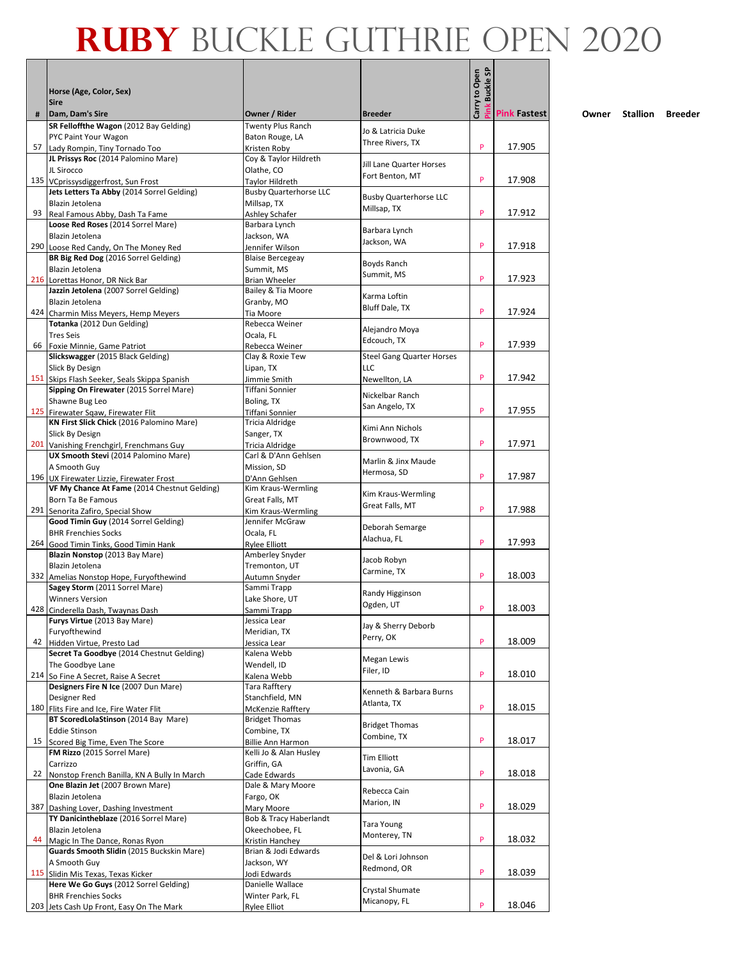|     | Horse (Age, Color, Sex)<br><b>Sire</b>                                          |                                       |                                  | Carry to Open<br><b>Buckle SP</b> |                     |
|-----|---------------------------------------------------------------------------------|---------------------------------------|----------------------------------|-----------------------------------|---------------------|
| #   | Dam, Dam's Sire                                                                 | Owner / Rider                         | <b>Breeder</b>                   |                                   | <b>Pink Fastest</b> |
|     | SR Felloffthe Wagon (2012 Bay Gelding)<br>PYC Paint Your Wagon                  | Twenty Plus Ranch<br>Baton Rouge, LA  | Jo & Latricia Duke               |                                   |                     |
| 57  | Lady Rompin, Tiny Tornado Too                                                   | Kristen Roby                          | Three Rivers, TX                 | P                                 | 17.905              |
|     | JL Prissys Roc (2014 Palomino Mare)                                             | Coy & Taylor Hildreth                 |                                  |                                   |                     |
|     | JL Sirocco                                                                      | Olathe, CO                            | Jill Lane Quarter Horses         |                                   |                     |
|     | 135 VCprissysdiggerfrost, Sun Frost                                             | Taylor Hildreth                       | Fort Benton, MT                  | P                                 | 17.908              |
|     | Jets Letters Ta Abby (2014 Sorrel Gelding)                                      | <b>Busby Quarterhorse LLC</b>         | <b>Busby Quarterhorse LLC</b>    |                                   |                     |
|     | Blazin Jetolena                                                                 | Millsap, TX                           | Millsap, TX                      | P                                 | 17.912              |
| 93  | Real Famous Abby, Dash Ta Fame<br>Loose Red Roses (2014 Sorrel Mare)            | Ashley Schafer<br>Barbara Lynch       |                                  |                                   |                     |
|     | Blazin Jetolena                                                                 | Jackson, WA                           | Barbara Lynch                    |                                   |                     |
| 290 | Loose Red Candy, On The Money Red                                               | Jennifer Wilson                       | Jackson, WA                      | P                                 | 17.918              |
|     | BR Big Red Dog (2016 Sorrel Gelding)                                            | <b>Blaise Bercegeay</b>               |                                  |                                   |                     |
|     | Blazin Jetolena                                                                 | Summit, MS                            | Boyds Ranch<br>Summit, MS        |                                   |                     |
|     | 216 Lorettas Honor, DR Nick Bar                                                 | Brian Wheeler                         |                                  | P                                 | 17.923              |
|     | Jazzin Jetolena (2007 Sorrel Gelding)                                           | Bailey & Tia Moore                    | Karma Loftin                     |                                   |                     |
|     | Blazin Jetolena                                                                 | Granby, MO                            | Bluff Dale, TX                   | P                                 | 17.924              |
|     | 424 Charmin Miss Meyers, Hemp Meyers<br>Totanka (2012 Dun Gelding)              | Tia Moore<br>Rebecca Weiner           |                                  |                                   |                     |
|     | <b>Tres Seis</b>                                                                | Ocala, FL                             | Alejandro Moya                   |                                   |                     |
|     | 66 Foxie Minnie, Game Patriot                                                   | Rebecca Weiner                        | Edcouch, TX                      | P                                 | 17.939              |
|     | Slickswagger (2015 Black Gelding)                                               | Clay & Roxie Tew                      | <b>Steel Gang Quarter Horses</b> |                                   |                     |
|     | Slick By Design                                                                 | Lipan, TX                             | LLC                              |                                   |                     |
|     | 151 Skips Flash Seeker, Seals Skippa Spanish                                    | Jimmie Smith                          | Newellton, LA                    | P                                 | 17.942              |
|     | Sipping On Firewater (2015 Sorrel Mare)                                         | Tiffani Sonnier                       | Nickelbar Ranch                  |                                   |                     |
|     | Shawne Bug Leo                                                                  | Boling, TX                            | San Angelo, TX                   | P                                 | 17.955              |
|     | 125 Firewater Sqaw, Firewater Flit<br>KN First Slick Chick (2016 Palomino Mare) | Tiffani Sonnier<br>Tricia Aldridge    |                                  |                                   |                     |
|     | Slick By Design                                                                 | Sanger, TX                            | Kimi Ann Nichols                 |                                   |                     |
|     | 201 Vanishing Frenchgirl, Frenchmans Guy                                        | Tricia Aldridge                       | Brownwood, TX                    | P                                 | 17.971              |
|     | UX Smooth Stevi (2014 Palomino Mare)                                            | Carl & D'Ann Gehlsen                  | Marlin & Jinx Maude              |                                   |                     |
|     | A Smooth Guy                                                                    | Mission, SD                           | Hermosa, SD                      |                                   |                     |
|     | 196 UX Firewater Lizzie, Firewater Frost                                        | D'Ann Gehlsen                         |                                  | P                                 | 17.987              |
|     | VF My Chance At Fame (2014 Chestnut Gelding)<br>Born Ta Be Famous               | Kim Kraus-Wermling<br>Great Falls, MT | Kim Kraus-Wermling               |                                   |                     |
|     | 291 Senorita Zafiro, Special Show                                               | Kim Kraus-Wermling                    | Great Falls, MT                  | P                                 | 17.988              |
|     | Good Timin Guy (2014 Sorrel Gelding)                                            | Jennifer McGraw                       |                                  |                                   |                     |
|     | <b>BHR Frenchies Socks</b>                                                      | Ocala, FL                             | Deborah Semarge<br>Alachua, FL   |                                   |                     |
| 264 | Good Timin Tinks, Good Timin Hank                                               | Rylee Elliott                         |                                  | P                                 | 17.993              |
|     | Blazin Nonstop (2013 Bay Mare)                                                  | Amberley Snyder                       | Jacob Robyn                      |                                   |                     |
|     | Blazin Jetolena                                                                 | Tremonton, UT                         | Carmine, TX                      | P                                 | 18.003              |
|     | 332 Amelias Nonstop Hope, Furyofthewind<br>Sagey Storm (2011 Sorrel Mare)       | Autumn Snyder<br>Sammi Trapp          |                                  |                                   |                     |
|     | <b>Winners Version</b>                                                          | Lake Shore, UT                        | Randy Higginson                  |                                   |                     |
|     | 428 Cinderella Dash, Twaynas Dash                                               | Sammi Trapp                           | Ogden, UT                        | P                                 | 18.003              |
|     | Furys Virtue (2013 Bay Mare)                                                    | Jessica Lear                          |                                  |                                   |                     |
|     | Furyofthewind                                                                   | Meridian, TX                          | Jay & Sherry Deborb<br>Perry, OK |                                   |                     |
| 42  | Hidden Virtue, Presto Lad                                                       | Jessica Lear                          |                                  | P                                 | 18.009              |
|     | Secret Ta Goodbye (2014 Chestnut Gelding)                                       | Kalena Webb                           | Megan Lewis                      |                                   |                     |
|     | The Goodbye Lane<br>214 So Fine A Secret, Raise A Secret                        | Wendell, ID<br>Kalena Webb            | Filer, ID                        | P                                 | 18.010              |
|     | Designers Fire N Ice (2007 Dun Mare)                                            | Tara Rafftery                         |                                  |                                   |                     |
|     | Designer Red                                                                    | Stanchfield, MN                       | Kenneth & Barbara Burns          |                                   |                     |
|     | 180 Flits Fire and Ice, Fire Water Flit                                         | McKenzie Rafftery                     | Atlanta, TX                      | P                                 | 18.015              |
|     | BT ScoredLolaStinson (2014 Bay Mare)                                            | <b>Bridget Thomas</b>                 | <b>Bridget Thomas</b>            |                                   |                     |
|     | <b>Eddie Stinson</b>                                                            | Combine, TX                           | Combine, TX                      |                                   |                     |
| 15  | Scored Big Time, Even The Score                                                 | <b>Billie Ann Harmon</b>              |                                  | P                                 | 18.017              |
|     | FM Rizzo (2015 Sorrel Mare)                                                     | Kelli Jo & Alan Husley<br>Griffin, GA | Tim Elliott                      |                                   |                     |
| 22  | Carrizzo<br>Nonstop French Banilla, KN A Bully In March                         | Cade Edwards                          | Lavonia, GA                      | P                                 | 18.018              |
|     | One Blazin Jet (2007 Brown Mare)                                                | Dale & Mary Moore                     |                                  |                                   |                     |
|     | Blazin Jetolena                                                                 | Fargo, OK                             | Rebecca Cain                     |                                   |                     |
| 387 | Dashing Lover, Dashing Investment                                               | Mary Moore                            | Marion, IN                       | P                                 | 18.029              |
|     | TY Danicintheblaze (2016 Sorrel Mare)                                           | Bob & Tracy Haberlandt                | Tara Young                       |                                   |                     |
|     | Blazin Jetolena                                                                 | Okeechobee, FL                        | Monterey, TN                     |                                   |                     |
| 44  | Magic In The Dance, Ronas Ryon                                                  | Kristin Hanchey                       |                                  | P                                 | 18.032              |
|     | Guards Smooth Slidin (2015 Buckskin Mare)                                       | Brian & Jodi Edwards                  | Del & Lori Johnson               |                                   |                     |
|     | A Smooth Guy<br>115 Slidin Mis Texas, Texas Kicker                              | Jackson, WY<br>Jodi Edwards           | Redmond, OR                      | P                                 | 18.039              |
|     | Here We Go Guys (2012 Sorrel Gelding)                                           | Danielle Wallace                      |                                  |                                   |                     |
|     | <b>BHR Frenchies Socks</b>                                                      | Winter Park, FL                       | Crystal Shumate                  |                                   |                     |
|     | 203 Jets Cash Up Front, Easy On The Mark                                        | <b>Rylee Elliot</b>                   | Micanopy, FL                     | P                                 | 18.046              |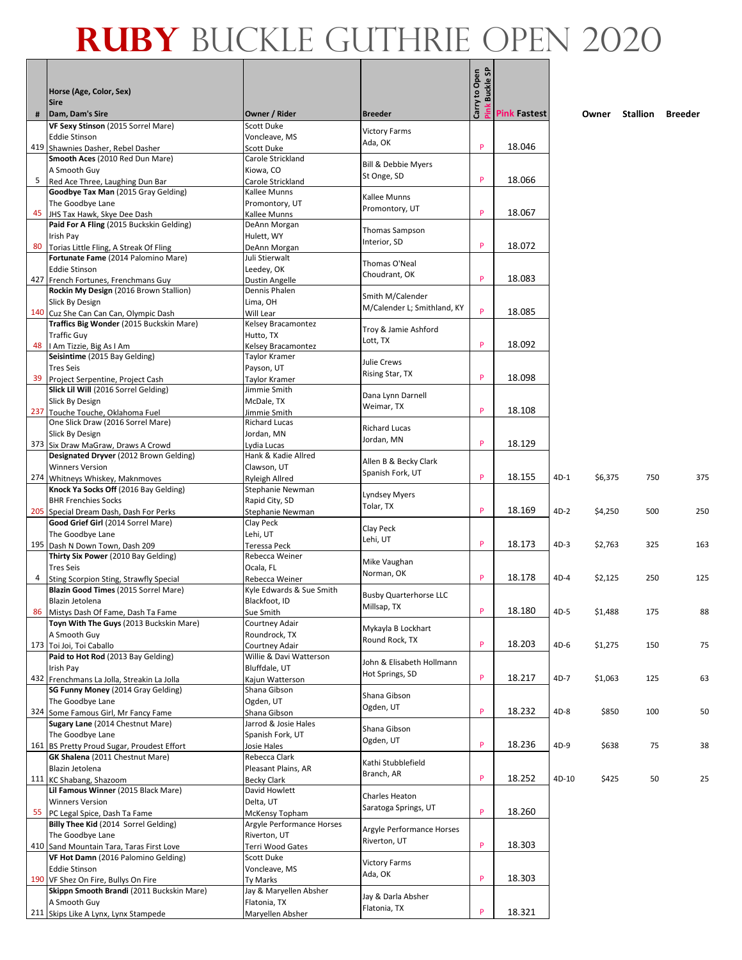|    |                                                                                   |                                           |                                    | Pink Buckle SP |                     |        |         |          |         |
|----|-----------------------------------------------------------------------------------|-------------------------------------------|------------------------------------|----------------|---------------------|--------|---------|----------|---------|
|    | Horse (Age, Color, Sex)                                                           |                                           |                                    | Carry to Open  |                     |        |         |          |         |
|    | <b>Sire</b>                                                                       |                                           |                                    |                |                     |        |         |          |         |
| #  | Dam, Dam's Sire<br>VF Sexy Stinson (2015 Sorrel Mare)                             | Owner / Rider<br>Scott Duke               | <b>Breeder</b>                     |                | <b>Pink Fastest</b> |        | Owner   | Stallion | Breeder |
|    | <b>Eddie Stinson</b>                                                              | Voncleave, MS                             | <b>Victory Farms</b>               |                |                     |        |         |          |         |
|    | 419 Shawnies Dasher, Rebel Dasher                                                 | Scott Duke                                | Ada, OK                            | P              | 18.046              |        |         |          |         |
|    | Smooth Aces (2010 Red Dun Mare)                                                   | Carole Strickland                         | Bill & Debbie Myers                |                |                     |        |         |          |         |
|    | A Smooth Guy                                                                      | Kiowa, CO                                 | St Onge, SD                        | P              | 18.066              |        |         |          |         |
|    | 5 Red Ace Three, Laughing Dun Bar<br>Goodbye Tax Man (2015 Gray Gelding)          | Carole Strickland<br>Kallee Munns         |                                    |                |                     |        |         |          |         |
|    | The Goodbye Lane                                                                  | Promontory, UT                            | Kallee Munns                       |                |                     |        |         |          |         |
|    | 45 JHS Tax Hawk, Skye Dee Dash                                                    | Kallee Munns                              | Promontory, UT                     | P              | 18.067              |        |         |          |         |
|    | Paid For A Fling (2015 Buckskin Gelding)                                          | DeAnn Morgan                              | <b>Thomas Sampson</b>              |                |                     |        |         |          |         |
| 80 | Irish Pay                                                                         | Hulett, WY                                | Interior, SD                       | P              | 18.072              |        |         |          |         |
|    | Torias Little Fling, A Streak Of Fling<br>Fortunate Fame (2014 Palomino Mare)     | DeAnn Morgan<br>Juli Stierwalt            |                                    |                |                     |        |         |          |         |
|    | <b>Eddie Stinson</b>                                                              | Leedey, OK                                | Thomas O'Neal                      |                |                     |        |         |          |         |
|    | 427 French Fortunes, Frenchmans Guy                                               | Dustin Angelle                            | Choudrant, OK                      | P              | 18.083              |        |         |          |         |
|    | Rockin My Design (2016 Brown Stallion)                                            | Dennis Phalen                             | Smith M/Calender                   |                |                     |        |         |          |         |
|    | Slick By Design                                                                   | Lima, OH                                  | M/Calender L; Smithland, KY        | P              | 18.085              |        |         |          |         |
|    | 140 Cuz She Can Can Can, Olympic Dash<br>Traffics Big Wonder (2015 Buckskin Mare) | Will Lear<br>Kelsey Bracamontez           |                                    |                |                     |        |         |          |         |
|    | <b>Traffic Guy</b>                                                                | Hutto, TX                                 | Troy & Jamie Ashford               |                |                     |        |         |          |         |
| 48 | I Am Tizzie, Big As I Am                                                          | Kelsey Bracamontez                        | Lott. TX                           | P              | 18.092              |        |         |          |         |
|    | Seisintime (2015 Bay Gelding)                                                     | Taylor Kramer                             | Julie Crews                        |                |                     |        |         |          |         |
|    | <b>Tres Seis</b>                                                                  | Payson, UT                                | Rising Star, TX                    |                |                     |        |         |          |         |
| 39 | Project Serpentine, Project Cash<br>Slick Lil Will (2016 Sorrel Gelding)          | Taylor Kramer<br>Jimmie Smith             |                                    | P              | 18.098              |        |         |          |         |
|    | <b>Slick By Design</b>                                                            | McDale, TX                                | Dana Lynn Darnell                  |                |                     |        |         |          |         |
|    | 237 Touche Touche, Oklahoma Fuel                                                  | Jimmie Smith                              | Weimar, TX                         | P              | 18.108              |        |         |          |         |
|    | One Slick Draw (2016 Sorrel Mare)                                                 | <b>Richard Lucas</b>                      | <b>Richard Lucas</b>               |                |                     |        |         |          |         |
|    | Slick By Design                                                                   | Jordan, MN                                | Jordan, MN                         |                |                     |        |         |          |         |
|    | 373 Six Draw MaGraw, Draws A Crowd                                                | Lydia Lucas                               |                                    | P              | 18.129              |        |         |          |         |
|    | Designated Dryver (2012 Brown Gelding)<br><b>Winners Version</b>                  | Hank & Kadie Allred                       | Allen B & Becky Clark              |                |                     |        |         |          |         |
|    | 274 Whitneys Whiskey, Maknmoves                                                   | Clawson, UT<br><b>Ryleigh Allred</b>      | Spanish Fork, UT                   | P              | 18.155              | 4D-1   | \$6,375 | 750      | 375     |
|    | Knock Ya Socks Off (2016 Bay Gelding)                                             | Stephanie Newman                          |                                    |                |                     |        |         |          |         |
|    | <b>BHR Frenchies Socks</b>                                                        | Rapid City, SD                            | Lyndsey Myers                      |                |                     |        |         |          |         |
|    | 205 Special Dream Dash, Dash For Perks                                            | Stephanie Newman                          | Tolar, TX                          | P              | 18.169              | $4D-2$ | \$4,250 | 500      | 250     |
|    | Good Grief Girl (2014 Sorrel Mare)                                                | Clay Peck                                 | Clay Peck                          |                |                     |        |         |          |         |
|    | The Goodbye Lane                                                                  | Lehi, UT                                  | Lehi, UT                           | P              | 18.173              | $4D-3$ | \$2,763 | 325      | 163     |
|    | 195 Dash N Down Town, Dash 209<br>Thirty Six Power (2010 Bay Gelding)             | Teressa Peck<br>Rebecca Weiner            |                                    |                |                     |        |         |          |         |
|    | <b>Tres Seis</b>                                                                  | Ocala, FL                                 | Mike Vaughan                       |                |                     |        |         |          |         |
|    | 4 Sting Scorpion Sting, Strawfly Special                                          | Rebecca Weiner                            | Norman, OK                         | P              | 18.178              | $4D-4$ | \$2,125 | 250      | 125     |
|    | Blazin Good Times (2015 Sorrel Mare)                                              | Kyle Edwards & Sue Smith                  | <b>Busby Quarterhorse LLC</b>      |                |                     |        |         |          |         |
|    | Blazin Jetolena                                                                   | Blackfoot, ID                             | Millsap, TX                        |                |                     |        |         |          |         |
|    | 86 Mistys Dash Of Fame, Dash Ta Fame<br>Toyn With The Guys (2013 Buckskin Mare)   | Sue Smith<br>Courtney Adair               |                                    | P              | 18.180              | $4D-5$ | \$1,488 | 175      |         |
|    | A Smooth Guy                                                                      | Roundrock, TX                             | Mykayla B Lockhart                 |                |                     |        |         |          |         |
|    | 173 Toi Joi, Toi Caballo                                                          | Courtney Adair                            | Round Rock, TX                     | P              | 18.203              | $4D-6$ | \$1,275 | 150      | 75      |
|    | Paid to Hot Rod (2013 Bay Gelding)                                                | Willie & Davi Watterson                   | John & Elisabeth Hollmann          |                |                     |        |         |          |         |
|    | Irish Pay                                                                         | Bluffdale, UT                             | Hot Springs, SD                    |                |                     |        |         |          |         |
|    | 432 Frenchmans La Jolla, Streakin La Jolla                                        | Kajun Watterson                           |                                    | P              | 18.217              | 4D-7   | \$1,063 | 125      | 63      |
|    | SG Funny Money (2014 Gray Gelding)<br>The Goodbye Lane                            | Shana Gibson<br>Ogden, UT                 | Shana Gibson                       |                |                     |        |         |          |         |
|    | 324 Some Famous Girl, Mr Fancy Fame                                               | Shana Gibson                              | Ogden, UT                          | P              | 18.232              | $4D-8$ | \$850   | 100      | 50      |
|    | Sugary Lane (2014 Chestnut Mare)                                                  | Jarrod & Josie Hales                      |                                    |                |                     |        |         |          |         |
|    | The Goodbye Lane                                                                  | Spanish Fork, UT                          | Shana Gibson<br>Ogden, UT          |                |                     |        |         |          |         |
|    | 161 BS Pretty Proud Sugar, Proudest Effort                                        | Josie Hales                               |                                    | P              | 18.236              | 4D-9   | \$638   | 75       | 38      |
|    | <b>GK Shalena</b> (2011 Chestnut Mare)                                            | Rebecca Clark                             | Kathi Stubblefield                 |                |                     |        |         |          |         |
|    | Blazin Jetolena<br>111 KC Shabang, Shazoom                                        | Pleasant Plains, AR<br><b>Becky Clark</b> | Branch, AR                         | P              | 18.252              | 4D-10  | \$425   | 50       | 25      |
|    | Lil Famous Winner (2015 Black Mare)                                               | David Howlett                             |                                    |                |                     |        |         |          |         |
|    | <b>Winners Version</b>                                                            | Delta, UT                                 | Charles Heaton                     |                |                     |        |         |          |         |
|    | 55 PC Legal Spice, Dash Ta Fame                                                   | McKensy Topham                            | Saratoga Springs, UT               | P              | 18.260              |        |         |          |         |
|    | Billy Thee Kid (2014 Sorrel Gelding)                                              | Argyle Performance Horses                 | Argyle Performance Horses          |                |                     |        |         |          |         |
|    | The Goodbye Lane                                                                  | Riverton, UT                              | Riverton, UT                       |                |                     |        |         |          |         |
|    | 410 Sand Mountain Tara, Taras First Love<br>VF Hot Damn (2016 Palomino Gelding)   | Terri Wood Gates                          |                                    | P              | 18.303              |        |         |          |         |
|    | <b>Eddie Stinson</b>                                                              | Scott Duke<br>Voncleave, MS               | <b>Victory Farms</b>               |                |                     |        |         |          |         |
|    | 190 VF Shez On Fire, Bullys On Fire                                               | Ty Marks                                  | Ada, OK                            | P              | 18.303              |        |         |          |         |
|    | Skippn Smooth Brandi (2011 Buckskin Mare)                                         | Jay & Maryellen Absher                    |                                    |                |                     |        |         |          |         |
|    | A Smooth Guy                                                                      | Flatonia, TX                              | Jay & Darla Absher<br>Flatonia, TX |                |                     |        |         |          |         |
|    | 211 Skips Like A Lynx, Lynx Stampede                                              | Maryellen Absher                          |                                    | P              | 18.321              |        |         |          |         |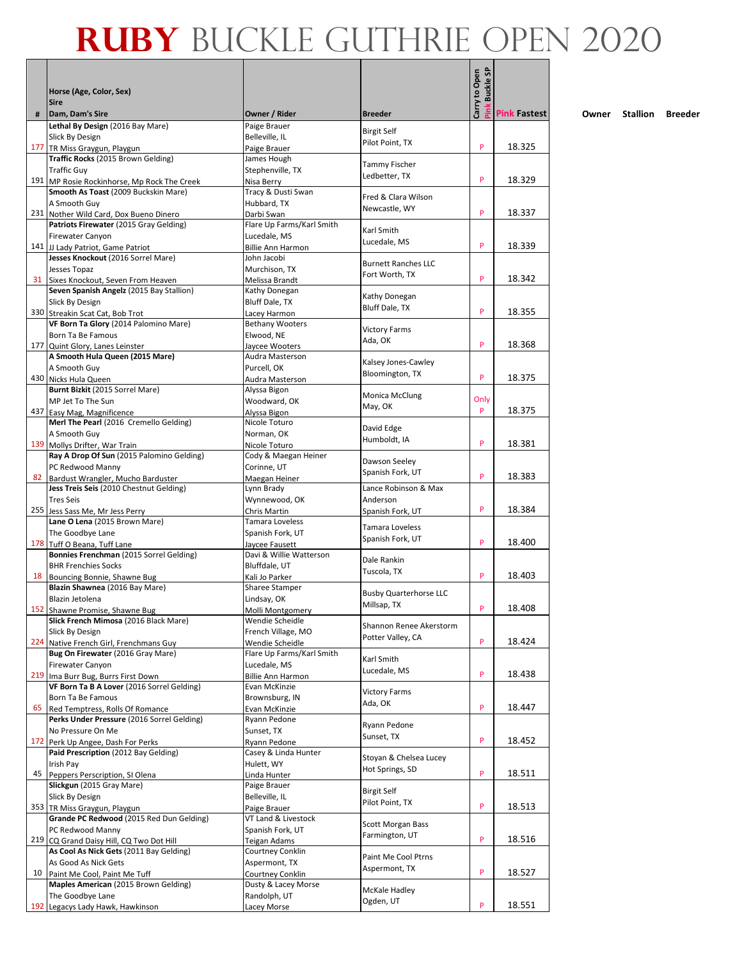|     |                                                                                     |                                           |                                   | Carry to Open<br><b>Buckle SP</b> |                     |
|-----|-------------------------------------------------------------------------------------|-------------------------------------------|-----------------------------------|-----------------------------------|---------------------|
|     | Horse (Age, Color, Sex)<br><b>Sire</b>                                              |                                           |                                   |                                   |                     |
| #   | Dam, Dam's Sire                                                                     | Owner / Rider                             | <b>Breeder</b>                    |                                   | <b>Pink Fastest</b> |
|     | Lethal By Design (2016 Bay Mare)                                                    | Paige Brauer                              | <b>Birgit Self</b>                |                                   |                     |
|     | Slick By Design                                                                     | Belleville, IL                            | Pilot Point, TX                   | P                                 | 18.325              |
|     | 177 TR Miss Graygun, Playgun<br>Traffic Rocks (2015 Brown Gelding)                  | Paige Brauer<br>James Hough               |                                   |                                   |                     |
|     | <b>Traffic Guy</b>                                                                  | Stephenville, TX                          | Tammy Fischer                     |                                   |                     |
|     | 191 MP Rosie Rockinhorse, Mp Rock The Creek                                         | Nisa Berry                                | Ledbetter, TX                     | P                                 | 18.329              |
|     | Smooth As Toast (2009 Buckskin Mare)<br>A Smooth Guy                                | Tracy & Dusti Swan<br>Hubbard, TX         | Fred & Clara Wilson               |                                   |                     |
|     | 231 Nother Wild Card, Dox Bueno Dinero                                              | Darbi Swan                                | Newcastle, WY                     | P                                 | 18.337              |
|     | Patriots Firewater (2015 Gray Gelding)                                              | Flare Up Farms/Karl Smith                 | Karl Smith                        |                                   |                     |
|     | <b>Firewater Canyon</b>                                                             | Lucedale, MS                              | Lucedale, MS                      | P                                 |                     |
|     | 141 JJ Lady Patriot, Game Patriot<br>Jesses Knockout (2016 Sorrel Mare)             | <b>Billie Ann Harmon</b><br>John Jacobi   |                                   |                                   | 18.339              |
|     | Jesses Topaz                                                                        | Murchison, TX                             | <b>Burnett Ranches LLC</b>        |                                   |                     |
|     | 31 Sixes Knockout, Seven From Heaven                                                | Melissa Brandt                            | Fort Worth, TX                    | P                                 | 18.342              |
|     | Seven Spanish Angelz (2015 Bay Stallion)                                            | Kathy Donegan                             | Kathy Donegan                     |                                   |                     |
|     | Slick By Design                                                                     | Bluff Dale, TX                            | <b>Bluff Dale, TX</b>             | P                                 | 18.355              |
|     | 330 Streakin Scat Cat, Bob Trot<br>VF Born Ta Glory (2014 Palomino Mare)            | Lacey Harmon<br><b>Bethany Wooters</b>    |                                   |                                   |                     |
|     | Born Ta Be Famous                                                                   | Elwood, NE                                | <b>Victory Farms</b>              |                                   |                     |
|     | 177 Quint Glory, Lanes Leinster                                                     | Jaycee Wooters                            | Ada, OK                           | P                                 | 18.368              |
|     | A Smooth Hula Queen (2015 Mare)                                                     | Audra Masterson                           | Kalsey Jones-Cawley               |                                   |                     |
|     | A Smooth Guy<br>430 Nicks Hula Queen                                                | Purcell, OK<br>Audra Masterson            | Bloomington, TX                   | P                                 | 18.375              |
|     | Burnt Bizkit (2015 Sorrel Mare)                                                     | Alyssa Bigon                              |                                   |                                   |                     |
|     | MP Jet To The Sun                                                                   | Woodward, OK                              | <b>Monica McClung</b><br>May, OK  | Only                              |                     |
|     | 437 Easy Mag, Magnificence                                                          | Alyssa Bigon                              |                                   | P                                 | 18.375              |
|     | Merl The Pearl (2016 Cremello Gelding)                                              | Nicole Toturo                             | David Edge                        |                                   |                     |
| 139 | A Smooth Guy<br>Mollys Drifter, War Train                                           | Norman, OK<br>Nicole Toturo               | Humboldt, IA                      | P                                 | 18.381              |
|     | Ray A Drop Of Sun (2015 Palomino Gelding)                                           | Cody & Maegan Heiner                      |                                   |                                   |                     |
|     | PC Redwood Manny                                                                    | Corinne, UT                               | Dawson Seeley<br>Spanish Fork, UT |                                   |                     |
| 82  | Bardust Wrangler, Mucho Barduster                                                   | Maegan Heiner                             |                                   | P                                 | 18.383              |
|     | Jess Treis Seis (2010 Chestnut Gelding)<br><b>Tres Seis</b>                         | Lynn Brady<br>Wynnewood, OK               | Lance Robinson & Max<br>Anderson  |                                   |                     |
|     | 255 Jess Sass Me, Mr Jess Perry                                                     | Chris Martin                              | Spanish Fork, UT                  | P                                 | 18.384              |
|     | Lane O Lena (2015 Brown Mare)                                                       | Tamara Loveless                           | Tamara Loveless                   |                                   |                     |
|     | The Goodbye Lane                                                                    | Spanish Fork, UT                          | Spanish Fork, UT                  | P                                 |                     |
|     | 178 Tuff O Beana, Tuff Lane<br>Bonnies Frenchman (2015 Sorrel Gelding)              | Jaycee Fausett<br>Davi & Willie Watterson |                                   |                                   | 18.400              |
|     | <b>BHR Frenchies Socks</b>                                                          | Bluffdale, UT                             | Dale Rankin                       |                                   |                     |
| 18  | Bouncing Bonnie, Shawne Bug                                                         | Kali Jo Parker                            | Tuscola, TX                       | P                                 | 18.403              |
|     | Blazin Shawnea (2016 Bay Mare)                                                      | <b>Sharee Stamper</b>                     | <b>Busby Quarterhorse LLC</b>     |                                   |                     |
|     | Blazin Jetolena<br>152 Shawne Promise, Shawne Bug                                   | Lindsay, OK<br>Molli Montgomery           | Millsap, TX                       | P                                 | 18.408              |
|     | Slick French Mimosa (2016 Black Mare)                                               | Wendie Scheidle                           |                                   |                                   |                     |
|     | Slick By Design                                                                     | French Village, MO                        | Shannon Renee Akerstorm           |                                   |                     |
| 224 | Native French Girl, Frenchmans Guy                                                  | Wendie Scheidle                           | Potter Valley, CA                 | P                                 | 18.424              |
|     | Bug On Firewater (2016 Gray Mare)                                                   | Flare Up Farms/Karl Smith                 | Karl Smith                        |                                   |                     |
| 219 | Firewater Canyon<br>Ima Burr Bug, Burrs First Down                                  | Lucedale, MS<br><b>Billie Ann Harmon</b>  | Lucedale, MS                      | P                                 | 18.438              |
|     | VF Born Ta B A Lover (2016 Sorrel Gelding)                                          | Evan McKinzie                             | <b>Victory Farms</b>              |                                   |                     |
|     | Born Ta Be Famous                                                                   | Brownsburg, IN                            | Ada, OK                           |                                   |                     |
| 65  | Red Temptress, Rolls Of Romance<br>Perks Under Pressure (2016 Sorrel Gelding)       | Evan McKinzie<br>Ryann Pedone             |                                   | P                                 | 18.447              |
|     | No Pressure On Me                                                                   | Sunset, TX                                | Ryann Pedone                      |                                   |                     |
| 172 | Perk Up Angee, Dash For Perks                                                       | Ryann Pedone                              | Sunset, TX                        | P                                 | 18.452              |
|     | Paid Prescription (2012 Bay Gelding)                                                | Casey & Linda Hunter                      | Stoyan & Chelsea Lucey            |                                   |                     |
|     | Irish Pay                                                                           | Hulett, WY                                | Hot Springs, SD                   | P                                 | 18.511              |
| 45  | Peppers Perscription, SI Olena<br>Slickgun (2015 Gray Mare)                         | Linda Hunter<br>Paige Brauer              |                                   |                                   |                     |
|     | Slick By Design                                                                     | Belleville, IL                            | <b>Birgit Self</b>                |                                   |                     |
|     | 353 TR Miss Graygun, Playgun                                                        | Paige Brauer                              | Pilot Point, TX                   | P                                 | 18.513              |
|     | Grande PC Redwood (2015 Red Dun Gelding)                                            | VT Land & Livestock                       | Scott Morgan Bass                 |                                   |                     |
|     | PC Redwood Manny                                                                    | Spanish Fork, UT                          | Farmington, UT                    | P                                 | 18.516              |
|     | 219 CQ Grand Daisy Hill, CQ Two Dot Hill<br>As Cool As Nick Gets (2011 Bay Gelding) | <b>Teigan Adams</b><br>Courtney Conklin   |                                   |                                   |                     |
|     | As Good As Nick Gets                                                                | Aspermont, TX                             | Paint Me Cool Ptrns               |                                   |                     |
| 10  | Paint Me Cool, Paint Me Tuff                                                        | Courtney Conklin                          | Aspermont, TX                     | P                                 | 18.527              |
|     | Maples American (2015 Brown Gelding)                                                | Dusty & Lacey Morse                       | McKale Hadley                     |                                   |                     |
| 192 | The Goodbye Lane<br>Legacys Lady Hawk, Hawkinson                                    | Randolph, UT<br>Lacey Morse               | Ogden, UT                         | P                                 | 18.551              |
|     |                                                                                     |                                           |                                   |                                   |                     |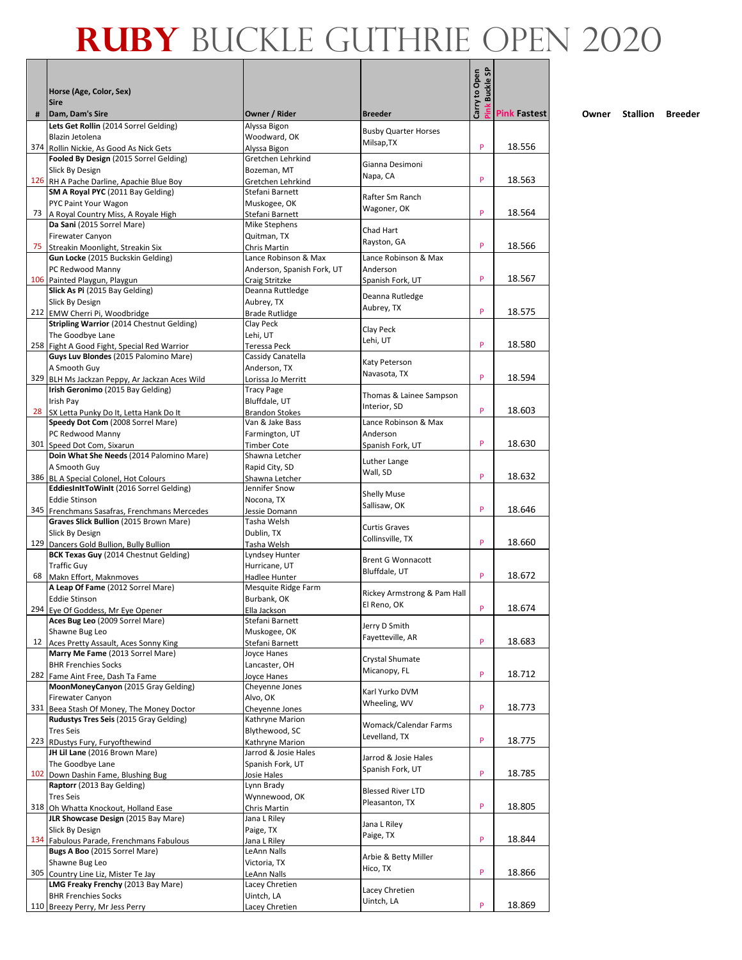|     |                                                                       |                                          |                                            | Carry to Open<br><b>Buckle SP</b> |                     |
|-----|-----------------------------------------------------------------------|------------------------------------------|--------------------------------------------|-----------------------------------|---------------------|
|     | Horse (Age, Color, Sex)                                               |                                          |                                            |                                   |                     |
|     | <b>Sire</b>                                                           |                                          |                                            |                                   |                     |
| #   | Dam, Dam's Sire<br>Lets Get Rollin (2014 Sorrel Gelding)              | Owner / Rider<br>Alyssa Bigon            | <b>Breeder</b>                             |                                   | <b>Pink Fastest</b> |
|     | Blazin Jetolena                                                       | Woodward, OK                             | <b>Busby Quarter Horses</b>                |                                   |                     |
| 374 | Rollin Nickie, As Good As Nick Gets                                   | Alyssa Bigon                             | Milsap, TX                                 | P                                 | 18.556              |
|     | Fooled By Design (2015 Sorrel Gelding)                                | Gretchen Lehrkind                        | Gianna Desimoni                            |                                   |                     |
|     | Slick By Design<br>126 RH A Pache Darline, Apachie Blue Boy           | Bozeman, MT<br>Gretchen Lehrkind         | Napa, CA                                   | P                                 | 18.563              |
|     | SM A Royal PYC (2011 Bay Gelding)                                     | Stefani Barnett                          |                                            |                                   |                     |
|     | PYC Paint Your Wagon                                                  | Muskogee, OK                             | Rafter Sm Ranch                            |                                   |                     |
| 73  | A Royal Country Miss, A Royale High                                   | Stefani Barnett                          | Wagoner, OK                                | P                                 | 18.564              |
|     | Da Sani (2015 Sorrel Mare)                                            | Mike Stephens                            | Chad Hart                                  |                                   |                     |
| 75  | <b>Firewater Canyon</b><br>Streakin Moonlight, Streakin Six           | Quitman, TX<br>Chris Martin              | Rayston, GA                                | P                                 | 18.566              |
|     | Gun Locke (2015 Buckskin Gelding)                                     | Lance Robinson & Max                     | Lance Robinson & Max                       |                                   |                     |
|     | PC Redwood Manny                                                      | Anderson, Spanish Fork, UT               | Anderson                                   |                                   |                     |
|     | 106 Painted Playgun, Playgun                                          | Craig Stritzke                           | Spanish Fork, UT                           | P                                 | 18.567              |
|     | Slick As Pi (2015 Bay Gelding)                                        | Deanna Ruttledge                         | Deanna Rutledge                            |                                   |                     |
|     | Slick By Design<br>212 EMW Cherri Pi, Woodbridge                      | Aubrey, TX<br><b>Brade Rutlidge</b>      | Aubrey, TX                                 | P                                 | 18.575              |
|     | <b>Stripling Warrior (2014 Chestnut Gelding)</b>                      | Clay Peck                                |                                            |                                   |                     |
|     | The Goodbye Lane                                                      | Lehi, UT                                 | Clay Peck<br>Lehi, UT                      |                                   |                     |
|     | 258 Fight A Good Fight, Special Red Warrior                           | Teressa Peck                             |                                            | P                                 | 18.580              |
|     | Guys Luv Blondes (2015 Palomino Mare)                                 | Cassidy Canatella                        | Katy Peterson                              |                                   |                     |
|     | A Smooth Guy<br>329 BLH Ms Jackzan Peppy, Ar Jackzan Aces Wild        | Anderson, TX<br>Lorissa Jo Merritt       | Navasota, TX                               | P                                 | 18.594              |
|     | Irish Geronimo (2015 Bay Gelding)                                     | <b>Tracy Page</b>                        |                                            |                                   |                     |
|     | Irish Pay                                                             | Bluffdale, UT                            | Thomas & Lainee Sampson<br>Interior, SD    |                                   |                     |
|     | 28 SX Letta Punky Do It, Letta Hank Do It                             | <b>Brandon Stokes</b>                    |                                            | P                                 | 18.603              |
|     | Speedy Dot Com (2008 Sorrel Mare)                                     | Van & Jake Bass                          | Lance Robinson & Max                       |                                   |                     |
|     | PC Redwood Manny<br>301 Speed Dot Com, Sixarun                        | Farmington, UT<br><b>Timber Cote</b>     | Anderson<br>Spanish Fork, UT               | P                                 | 18.630              |
|     | Doin What She Needs (2014 Palomino Mare)                              | Shawna Letcher                           |                                            |                                   |                     |
|     | A Smooth Guy                                                          | Rapid City, SD                           | Luther Lange<br>Wall, SD                   |                                   |                     |
|     | 386 BL A Special Colonel, Hot Colours                                 | Shawna Letcher                           |                                            | P                                 | 18.632              |
|     | EddiesInItToWinIt (2016 Sorrel Gelding)<br><b>Eddie Stinson</b>       | Jennifer Snow<br>Nocona, TX              | <b>Shelly Muse</b>                         |                                   |                     |
|     | 345 Frenchmans Sasafras, Frenchmans Mercedes                          | Jessie Domann                            | Sallisaw, OK                               | P                                 | 18.646              |
|     | Graves Slick Bullion (2015 Brown Mare)                                | Tasha Welsh                              |                                            |                                   |                     |
|     | Slick By Design                                                       | Dublin, TX                               | <b>Curtis Graves</b><br>Collinsville, TX   |                                   |                     |
|     | 129 Dancers Gold Bullion, Bully Bullion                               | Tasha Welsh                              |                                            | P                                 | 18.660              |
|     | BCK Texas Guy (2014 Chestnut Gelding)<br><b>Traffic Guy</b>           | Lyndsey Hunter<br>Hurricane, UT          | <b>Brent G Wonnacott</b>                   |                                   |                     |
| 68  | Makn Effort, Maknmoves                                                | Hadlee Hunter                            | Bluffdale, UT                              | P                                 | 18.672              |
|     | A Leap Of Fame (2012 Sorrel Mare)                                     | Mesquite Ridge Farm                      |                                            |                                   |                     |
|     | <b>Eddie Stinson</b>                                                  | Burbank, OK                              | Rickey Armstrong & Pam Hall<br>El Reno, OK |                                   |                     |
|     | 294 Eve Of Goddess. Mr Eve Opener                                     | Ella Jackson                             |                                            | P                                 | 18.674              |
|     | Aces Bug Leo (2009 Sorrel Mare)<br>Shawne Bug Leo                     | Stefani Barnett<br>Muskogee, OK          | Jerry D Smith                              |                                   |                     |
| 12  | Aces Pretty Assault, Aces Sonny King                                  | Stefani Barnett                          | Fayetteville, AR                           | P                                 | 18.683              |
|     | Marry Me Fame (2013 Sorrel Mare)                                      | Joyce Hanes                              | Crystal Shumate                            |                                   |                     |
|     | <b>BHR Frenchies Socks</b>                                            | Lancaster, OH                            | Micanopy, FL                               |                                   |                     |
|     | 282 Fame Aint Free, Dash Ta Fame                                      | Joyce Hanes                              |                                            | P                                 | 18.712              |
|     | MoonMoneyCanyon (2015 Gray Gelding)<br>Firewater Canyon               | Cheyenne Jones<br>Alvo, OK               | Karl Yurko DVM                             |                                   |                     |
|     | 331 Beea Stash Of Money, The Money Doctor                             | Cheyenne Jones                           | Wheeling, WV                               | P                                 | 18.773              |
|     | Rudustys Tres Seis (2015 Gray Gelding)                                | Kathryne Marion                          | Womack/Calendar Farms                      |                                   |                     |
|     | <b>Tres Seis</b>                                                      | Blythewood, SC                           | Levelland, TX                              |                                   |                     |
|     | 223 RDustys Fury, Furyofthewind<br>JH Lil Lane (2016 Brown Mare)      | Kathryne Marion                          |                                            | P                                 | 18.775              |
|     | The Goodbye Lane                                                      | Jarrod & Josie Hales<br>Spanish Fork, UT | Jarrod & Josie Hales                       |                                   |                     |
|     | 102 Down Dashin Fame, Blushing Bug                                    | Josie Hales                              | Spanish Fork, UT                           | P                                 | 18.785              |
|     | Raptorr (2013 Bay Gelding)                                            | Lynn Brady                               | <b>Blessed River LTD</b>                   |                                   |                     |
|     | <b>Tres Seis</b>                                                      | Wynnewood, OK                            | Pleasanton, TX                             |                                   |                     |
|     | 318 Oh Whatta Knockout, Holland Ease                                  | Chris Martin                             |                                            | P                                 | 18.805              |
|     | JLR Showcase Design (2015 Bay Mare)<br>Slick By Design                | Jana L Riley<br>Paige, TX                | Jana L Riley                               |                                   |                     |
|     | 134 Fabulous Parade, Frenchmans Fabulous                              | Jana L Riley                             | Paige, TX                                  | P                                 | 18.844              |
|     | Bugs A Boo (2015 Sorrel Mare)                                         | LeAnn Nalls                              | Arbie & Betty Miller                       |                                   |                     |
|     | Shawne Bug Leo                                                        | Victoria, TX                             | Hico, TX                                   |                                   |                     |
| 305 | Country Line Liz, Mister Te Jay<br>LMG Freaky Frenchy (2013 Bay Mare) | LeAnn Nalls<br>Lacey Chretien            |                                            | P                                 | 18.866              |
|     | <b>BHR Frenchies Socks</b>                                            | Uintch, LA                               | Lacey Chretien                             |                                   |                     |
|     | 110 Breezy Perry, Mr Jess Perry                                       | Lacey Chretien                           | Uintch, LA                                 | P                                 | 18.869              |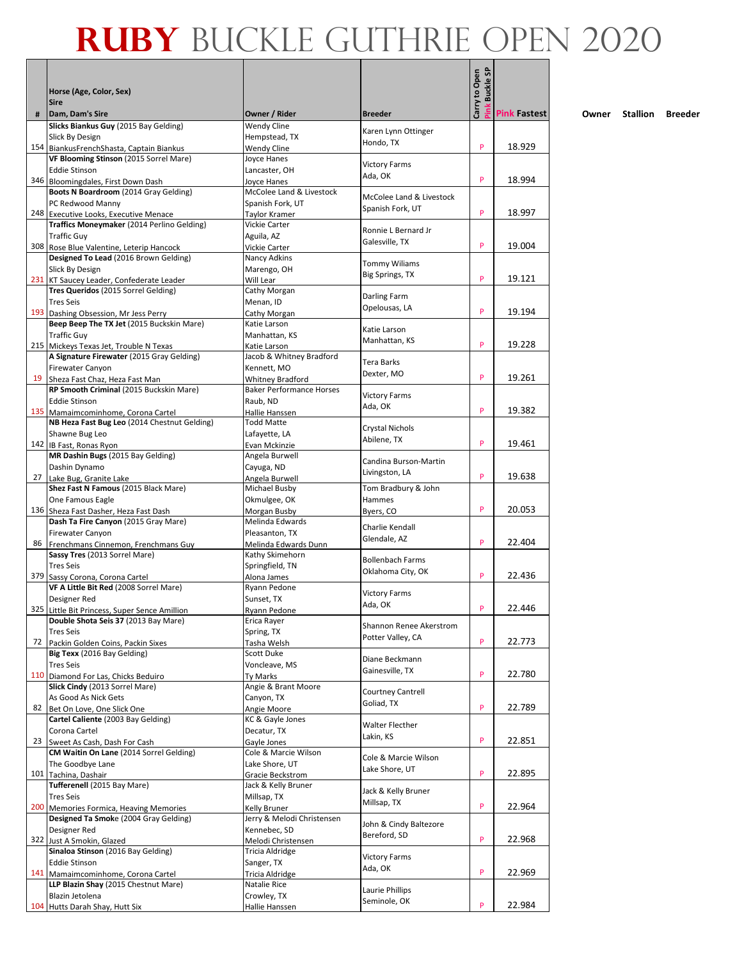|    |                                                                                     |                                                            |                                        | Carry to Open<br><b>Buckle SP</b> |                     |
|----|-------------------------------------------------------------------------------------|------------------------------------------------------------|----------------------------------------|-----------------------------------|---------------------|
|    | Horse (Age, Color, Sex)                                                             |                                                            |                                        |                                   |                     |
| #  | <b>Sire</b><br>Dam, Dam's Sire                                                      | Owner / Rider                                              | <b>Breeder</b>                         |                                   | <b>Pink Fastest</b> |
|    | Slicks Biankus Guy (2015 Bay Gelding)                                               | <b>Wendy Cline</b>                                         |                                        |                                   |                     |
|    | Slick By Design                                                                     | Hempstead, TX                                              | Karen Lynn Ottinger<br>Hondo, TX       |                                   |                     |
|    | 154 BiankusFrenchShasta, Captain Biankus<br>VF Blooming Stinson (2015 Sorrel Mare)  | Wendy Cline<br>Joyce Hanes                                 |                                        | P                                 | 18.929              |
|    | Eddie Stinson                                                                       | Lancaster, OH                                              | <b>Victory Farms</b>                   |                                   |                     |
|    | 346 Bloomingdales, First Down Dash                                                  | Joyce Hanes                                                | Ada, OK                                | P                                 | 18.994              |
|    | Boots N Boardroom (2014 Gray Gelding)                                               | McColee Land & Livestock                                   | McColee Land & Livestock               |                                   |                     |
|    | PC Redwood Manny                                                                    | Spanish Fork, UT                                           | Spanish Fork, UT                       | P                                 | 18.997              |
|    | 248 Executive Looks, Executive Menace<br>Traffics Moneymaker (2014 Perlino Gelding) | Taylor Kramer<br>Vickie Carter                             |                                        |                                   |                     |
|    | <b>Traffic Guy</b>                                                                  | Aguila, AZ                                                 | Ronnie L Bernard Jr                    |                                   |                     |
|    | 308 Rose Blue Valentine, Leterip Hancock                                            | Vickie Carter                                              | Galesville, TX                         | P                                 | 19.004              |
|    | Designed To Lead (2016 Brown Gelding)                                               | Nancy Adkins                                               | <b>Tommy Wiliams</b>                   |                                   |                     |
|    | Slick By Design<br>231 KT Saucey Leader, Confederate Leader                         | Marengo, OH<br>Will Lear                                   | Big Springs, TX                        | P                                 | 19.121              |
|    | Tres Queridos (2015 Sorrel Gelding)                                                 | Cathy Morgan                                               |                                        |                                   |                     |
|    | <b>Tres Seis</b>                                                                    | Menan, ID                                                  | Darling Farm<br>Opelousas, LA          |                                   |                     |
|    | 193 Dashing Obsession, Mr Jess Perry                                                | Cathy Morgan                                               |                                        | P                                 | 19.194              |
|    | Beep Beep The TX Jet (2015 Buckskin Mare)<br><b>Traffic Guy</b>                     | Katie Larson<br>Manhattan, KS                              | Katie Larson                           |                                   |                     |
|    | 215 Mickeys Texas Jet, Trouble N Texas                                              | Katie Larson                                               | Manhattan, KS                          | P                                 | 19.228              |
|    | A Signature Firewater (2015 Gray Gelding)                                           | Jacob & Whitney Bradford                                   | Tera Barks                             |                                   |                     |
|    | <b>Firewater Canyon</b>                                                             | Kennett, MO                                                | Dexter, MO                             |                                   |                     |
|    | 19 Sheza Fast Chaz, Heza Fast Man                                                   | <b>Whitney Bradford</b><br><b>Baker Performance Horses</b> |                                        | P                                 | 19.261              |
|    | RP Smooth Criminal (2015 Buckskin Mare)<br>Eddie Stinson                            | Raub, ND                                                   | <b>Victory Farms</b>                   |                                   |                     |
|    | 135 Mamaimcominhome, Corona Cartel                                                  | Hallie Hanssen                                             | Ada, OK                                | P                                 | 19.382              |
|    | NB Heza Fast Bug Leo (2014 Chestnut Gelding)                                        | <b>Todd Matte</b>                                          | Crystal Nichols                        |                                   |                     |
|    | Shawne Bug Leo                                                                      | Lafayette, LA                                              | Abilene, TX                            | P                                 |                     |
|    | 142 IB Fast, Ronas Ryon<br>MR Dashin Bugs (2015 Bay Gelding)                        | Evan Mckinzie<br>Angela Burwell                            |                                        |                                   | 19.461              |
|    | Dashin Dynamo                                                                       | Cayuga, ND                                                 | Candina Burson-Martin                  |                                   |                     |
|    | 27 Lake Bug, Granite Lake                                                           | Angela Burwell                                             | Livingston, LA                         | P                                 | 19.638              |
|    | Shez Fast N Famous (2015 Black Mare)                                                | Michael Busby                                              | Tom Bradbury & John                    |                                   |                     |
|    | One Famous Eagle                                                                    | Okmulgee, OK                                               | Hammes                                 | P                                 | 20.053              |
|    | 136 Sheza Fast Dasher, Heza Fast Dash<br>Dash Ta Fire Canyon (2015 Gray Mare)       | Morgan Busby<br>Melinda Edwards                            | Byers, CO                              |                                   |                     |
|    | <b>Firewater Canyon</b>                                                             | Pleasanton, TX                                             | Charlie Kendall                        |                                   |                     |
| 86 | Frenchmans Cinnemon, Frenchmans Guy                                                 | Melinda Edwards Dunn                                       | Glendale, AZ                           | P                                 | 22.404              |
|    | Sassy Tres (2013 Sorrel Mare)                                                       | Kathy Skimehorn                                            | <b>Bollenbach Farms</b>                |                                   |                     |
|    | <b>Tres Seis</b><br>379 Sassy Corona, Corona Cartel                                 | Springfield, TN<br>Alona James                             | Oklahoma City, OK                      | P                                 | 22.436              |
|    | VF A Little Bit Red (2008 Sorrel Mare)                                              | Ryann Pedone                                               |                                        |                                   |                     |
|    | Designer Red                                                                        | Sunset, TX                                                 | <b>Victory Farms</b><br>Ada, OK        |                                   |                     |
|    | 325 Little Bit Princess, Super Sence Amillion                                       | Rvann Pedone                                               |                                        | P                                 | 22.446              |
|    | Double Shota Seis 37 (2013 Bay Mare)<br><b>Tres Seis</b>                            | Erica Rayer<br>Spring, TX                                  | Shannon Renee Akerstrom                |                                   |                     |
| 72 | Packin Golden Coins, Packin Sixes                                                   | Tasha Welsh                                                | Potter Valley, CA                      | P                                 | 22.773              |
|    | Big Texx (2016 Bay Gelding)                                                         | Scott Duke                                                 | Diane Beckmann                         |                                   |                     |
|    | <b>Tres Seis</b>                                                                    | Voncleave, MS                                              | Gainesville, TX                        | P                                 |                     |
|    | 110 Diamond For Las, Chicks Beduiro<br>Slick Cindy (2013 Sorrel Mare)               | Ty Marks<br>Angie & Brant Moore                            |                                        |                                   | 22.780              |
|    | As Good As Nick Gets                                                                | Canyon, TX                                                 | <b>Courtney Cantrell</b>               |                                   |                     |
| 82 | Bet On Love, One Slick One                                                          | Angie Moore                                                | Goliad, TX                             | P                                 | 22.789              |
|    | Cartel Caliente (2003 Bay Gelding)                                                  | KC & Gayle Jones                                           | <b>Walter Flecther</b>                 |                                   |                     |
|    | Corona Cartel<br>23 Sweet As Cash, Dash For Cash                                    | Decatur, TX                                                | Lakin, KS                              | P                                 | 22.851              |
|    | CM Waitin On Lane (2014 Sorrel Gelding)                                             | Gayle Jones<br>Cole & Marcie Wilson                        |                                        |                                   |                     |
|    | The Goodbye Lane                                                                    | Lake Shore, UT                                             | Cole & Marcie Wilson                   |                                   |                     |
|    | 101 Tachina, Dashair                                                                | Gracie Beckstrom                                           | Lake Shore, UT                         | P                                 | 22.895              |
|    | Tufferenell (2015 Bay Mare)                                                         | Jack & Kelly Bruner                                        | Jack & Kelly Bruner                    |                                   |                     |
|    | Tres Seis<br>200 Memories Formica, Heaving Memories                                 | Millsap, TX<br>Kelly Bruner                                | Millsap, TX                            | P                                 | 22.964              |
|    | Designed Ta Smoke (2004 Gray Gelding)                                               | Jerry & Melodi Christensen                                 |                                        |                                   |                     |
|    | Designer Red                                                                        | Kennebec, SD                                               | John & Cindy Baltezore<br>Bereford, SD |                                   |                     |
|    | 322 Just A Smokin, Glazed                                                           | Melodi Christensen                                         |                                        | P                                 | 22.968              |
|    | Sinaloa Stinson (2016 Bay Gelding)<br><b>Eddie Stinson</b>                          | Tricia Aldridge<br>Sanger, TX                              | <b>Victory Farms</b>                   |                                   |                     |
|    | 141 Mamaimcominhome, Corona Cartel                                                  | Tricia Aldridge                                            | Ada, OK                                | P                                 | 22.969              |
|    | LLP Blazin Shay (2015 Chestnut Mare)                                                | Natalie Rice                                               | Laurie Phillips                        |                                   |                     |
|    | Blazin Jetolena                                                                     | Crowley, TX                                                | Seminole, OK                           |                                   |                     |
|    | 104 Hutts Darah Shay, Hutt Six                                                      | Hallie Hanssen                                             |                                        | P                                 | 22.984              |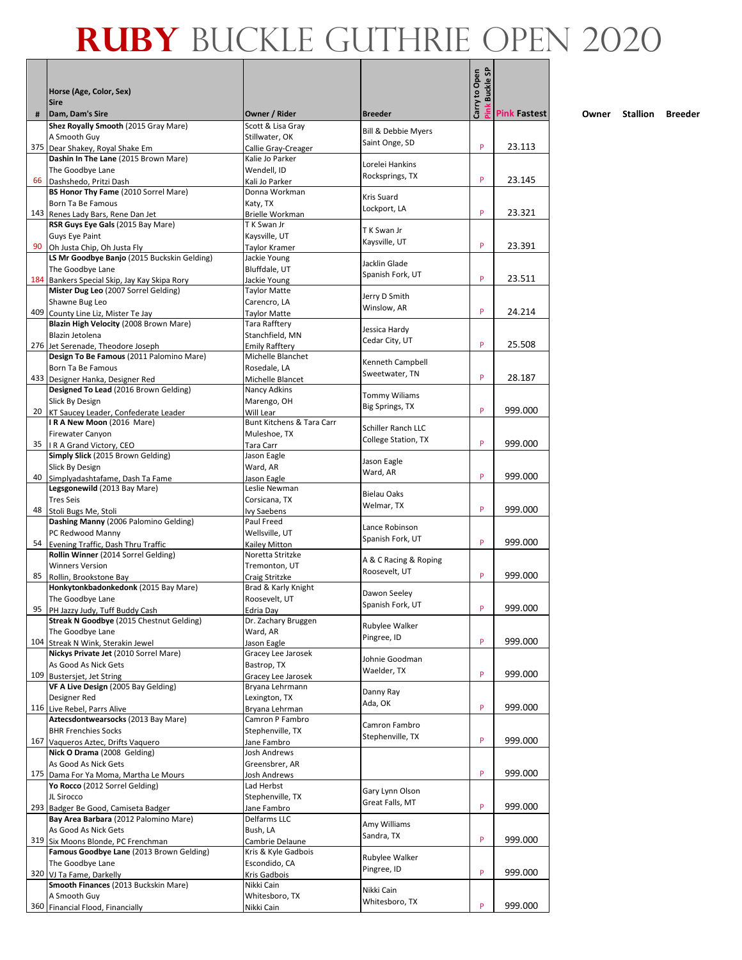|     |                                                                                      |                                            |                                       | Carry to Open<br><b>Buckle SP</b> |                     |
|-----|--------------------------------------------------------------------------------------|--------------------------------------------|---------------------------------------|-----------------------------------|---------------------|
|     | Horse (Age, Color, Sex)                                                              |                                            |                                       |                                   |                     |
| #   | <b>Sire</b><br>Dam, Dam's Sire                                                       | Owner / Rider                              | <b>Breeder</b>                        |                                   | <b>Pink Fastest</b> |
|     | Shez Royally Smooth (2015 Gray Mare)                                                 | Scott & Lisa Gray                          |                                       |                                   |                     |
|     | A Smooth Guy                                                                         | Stillwater, OK                             | Bill & Debbie Myers<br>Saint Onge, SD |                                   |                     |
|     | 375 Dear Shakey, Royal Shake Em<br>Dashin In The Lane (2015 Brown Mare)              | Callie Gray-Creager<br>Kalie Jo Parker     |                                       | P                                 | 23.113              |
|     | The Goodbye Lane                                                                     | Wendell, ID                                | Lorelei Hankins                       |                                   |                     |
| 66  | Dashshedo, Pritzi Dash                                                               | Kali Jo Parker                             | Rocksprings, TX                       | P                                 | 23.145              |
|     | BS Honor Thy Fame (2010 Sorrel Mare)                                                 | Donna Workman                              | Kris Suard                            |                                   |                     |
|     | Born Ta Be Famous                                                                    | Katy, TX                                   | Lockport, LA                          | P                                 |                     |
|     | 143 Renes Lady Bars, Rene Dan Jet<br>RSR Guys Eye Gals (2015 Bay Mare)               | <b>Brielle Workman</b><br>T K Swan Jr      |                                       |                                   | 23.321              |
|     | Guys Eye Paint                                                                       | Kaysville, UT                              | T K Swan Jr                           |                                   |                     |
| 90  | Oh Justa Chip, Oh Justa Fly                                                          | Taylor Kramer                              | Kaysville, UT                         | P                                 | 23.391              |
|     | LS Mr Goodbye Banjo (2015 Buckskin Gelding)                                          | Jackie Young                               | Jacklin Glade                         |                                   |                     |
|     | The Goodbye Lane                                                                     | Bluffdale, UT                              | Spanish Fork, UT                      | P                                 | 23.511              |
|     | 184 Bankers Special Skip, Jay Kay Skipa Rory<br>Mister Dug Leo (2007 Sorrel Gelding) | Jackie Young<br><b>Taylor Matte</b>        |                                       |                                   |                     |
|     | Shawne Bug Leo                                                                       | Carencro, LA                               | Jerry D Smith                         |                                   |                     |
| 409 | County Line Liz, Mister Te Jay                                                       | <b>Taylor Matte</b>                        | Winslow, AR                           | P                                 | 24.214              |
|     | Blazin High Velocity (2008 Brown Mare)                                               | Tara Rafftery                              | Jessica Hardy                         |                                   |                     |
|     | Blazin Jetolena                                                                      | Stanchfield, MN                            | Cedar City, UT                        | P                                 | 25.508              |
|     | 276 Jet Serenade, Theodore Joseph<br>Design To Be Famous (2011 Palomino Mare)        | <b>Emily Rafftery</b><br>Michelle Blanchet |                                       |                                   |                     |
|     | Born Ta Be Famous                                                                    | Rosedale, LA                               | Kenneth Campbell                      |                                   |                     |
|     | 433 Designer Hanka, Designer Red                                                     | Michelle Blancet                           | Sweetwater, TN                        | P                                 | 28.187              |
|     | Designed To Lead (2016 Brown Gelding)                                                | Nancy Adkins                               | <b>Tommy Wiliams</b>                  |                                   |                     |
|     | Slick By Design                                                                      | Marengo, OH                                | Big Springs, TX                       | P                                 | 999.000             |
|     | 20 KT Saucey Leader, Confederate Leader<br>IRA New Moon (2016 Mare)                  | Will Lear<br>Bunt Kitchens & Tara Carr     |                                       |                                   |                     |
|     | <b>Firewater Canyon</b>                                                              | Muleshoe, TX                               | Schiller Ranch LLC                    |                                   |                     |
| 35  | IR A Grand Victory, CEO                                                              | Tara Carr                                  | College Station, TX                   | P                                 | 999.000             |
|     | Simply Slick (2015 Brown Gelding)                                                    | Jason Eagle                                | Jason Eagle                           |                                   |                     |
| 40  | Slick By Design                                                                      | Ward, AR                                   | Ward, AR                              | P                                 | 999.000             |
|     | Simplyadashtafame, Dash Ta Fame<br>Legsgonewild (2013 Bay Mare)                      | Jason Eagle<br>Leslie Newman               |                                       |                                   |                     |
|     | <b>Tres Seis</b>                                                                     | Corsicana, TX                              | <b>Bielau Oaks</b>                    |                                   |                     |
| 48  | Stoli Bugs Me, Stoli                                                                 | Ivy Saebens                                | Welmar, TX                            | P                                 | 999.000             |
|     | Dashing Manny (2006 Palomino Gelding)                                                | Paul Freed                                 | Lance Robinson                        |                                   |                     |
| 54  | PC Redwood Manny<br>Evening Traffic, Dash Thru Traffic                               | Wellsville, UT<br>Kailey Mitton            | Spanish Fork, UT                      | P                                 | 999.000             |
|     | Rollin Winner (2014 Sorrel Gelding)                                                  | Noretta Stritzke                           |                                       |                                   |                     |
|     | <b>Winners Version</b>                                                               | Tremonton, UT                              | A & C Racing & Roping                 |                                   |                     |
| 85  | Rollin, Brookstone Bay                                                               | Craig Stritzke                             | Roosevelt, UT                         | P                                 | 999.000             |
|     | Honkytonkbadonkedonk (2015 Bay Mare)                                                 | Brad & Karly Knight                        | Dawon Seeley                          |                                   |                     |
| 95  | The Goodbye Lane<br>PH Jazzy Judy. Tuff Buddy Cash                                   | Roosevelt, UT<br>Edria Dav                 | Spanish Fork, UT                      | P                                 | 999.000             |
|     | Streak N Goodbye (2015 Chestnut Gelding)                                             | Dr. Zachary Bruggen                        |                                       |                                   |                     |
|     | The Goodbye Lane                                                                     | Ward, AR                                   | Rubylee Walker<br>Pingree, ID         |                                   |                     |
| 104 | Streak N Wink, Sterakin Jewel                                                        | Jason Eagle                                |                                       | P                                 | 999.000             |
|     | Nickys Private Jet (2010 Sorrel Mare)                                                | Gracey Lee Jarosek                         | Johnie Goodman                        |                                   |                     |
| 109 | As Good As Nick Gets<br><b>Bustersjet, Jet String</b>                                | Bastrop, TX<br>Gracey Lee Jarosek          | Waelder, TX                           | P                                 | 999.000             |
|     | VF A Live Design (2005 Bay Gelding)                                                  | Bryana Lehrmann                            |                                       |                                   |                     |
|     | Designer Red                                                                         | Lexington, TX                              | Danny Ray<br>Ada, OK                  |                                   |                     |
|     | 116 Live Rebel, Parrs Alive                                                          | Bryana Lehrman                             |                                       | P                                 | 999.000             |
|     | Aztecsdontwearsocks (2013 Bay Mare)                                                  | Camron P Fambro<br>Stephenville, TX        | Camron Fambro                         |                                   |                     |
| 167 | <b>BHR Frenchies Socks</b><br>Vaqueros Aztec, Drifts Vaquero                         | Jane Fambro                                | Stephenville, TX                      | P                                 | 999.000             |
|     | Nick O Drama (2008 Gelding)                                                          | Josh Andrews                               |                                       |                                   |                     |
|     | As Good As Nick Gets                                                                 | Greensbrer, AR                             |                                       |                                   |                     |
|     | 175 Dama For Ya Moma, Martha Le Mours                                                | Josh Andrews                               |                                       | P                                 | 999.000             |
|     | Yo Rocco (2012 Sorrel Gelding)                                                       | Lad Herbst                                 | Gary Lynn Olson                       |                                   |                     |
| 293 | JL Sirocco<br>Badger Be Good, Camiseta Badger                                        | Stephenville, TX<br>Jane Fambro            | Great Falls, MT                       | P                                 | 999.000             |
|     | Bay Area Barbara (2012 Palomino Mare)                                                | Delfarms LLC                               |                                       |                                   |                     |
|     | As Good As Nick Gets                                                                 | Bush, LA                                   | Amy Williams<br>Sandra, TX            |                                   |                     |
|     | 319 Six Moons Blonde, PC Frenchman                                                   | Cambrie Delaune                            |                                       | P                                 | 999.000             |
|     | Famous Goodbye Lane (2013 Brown Gelding)                                             | Kris & Kyle Gadbois                        | Rubylee Walker                        |                                   |                     |
| 320 | The Goodbye Lane<br>VJ Ta Fame, Darkelly                                             | Escondido, CA<br>Kris Gadbois              | Pingree, ID                           | P                                 | 999.000             |
|     | Smooth Finances (2013 Buckskin Mare)                                                 | Nikki Cain                                 |                                       |                                   |                     |
|     | A Smooth Guy                                                                         | Whitesboro, TX                             | Nikki Cain<br>Whitesboro, TX          |                                   |                     |
|     | 360 Financial Flood, Financially                                                     | Nikki Cain                                 |                                       | P                                 | 999.000             |